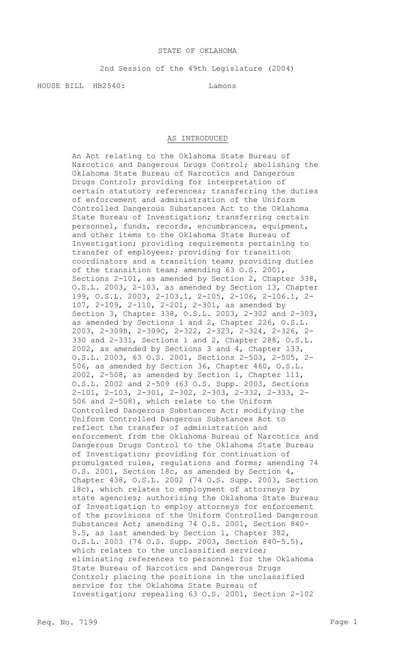## STATE OF OKLAHOMA

2nd Session of the 49th Legislature (2004)

HOUSE BILL HB2540: Lamons

## AS INTRODUCED

An Act relating to the Oklahoma State Bureau of Narcotics and Dangerous Drugs Control; abolishing the Oklahoma State Bureau of Narcotics and Dangerous Drugs Control; providing for interpretation of certain statutory references; transferring the duties of enforcement and administration of the Uniform Controlled Dangerous Substances Act to the Oklahoma State Bureau of Investigation; transferring certain personnel, funds, records, encumbrances, equipment, and other items to the Oklahoma State Bureau of Investigation; providing requirements pertaining to transfer of employees; providing for transition coordinators and a transition team; providing duties of the transition team; amending 63 O.S. 2001, Sections 2-101, as amended by Section 2, Chapter 338, O.S.L. 2003, 2-103, as amended by Section 13, Chapter 199, O.S.L. 2003, 2-103.1, 2-105, 2-106, 2-106.1, 2- 107, 2-109, 2-110, 2-201, 2-301, as amended by Section 3, Chapter 338, O.S.L. 2003, 2-302 and 2-303, as amended by Sections 1 and 2, Chapter 226, O.S.L. 2003, 2-309B, 2-309C, 2-322, 2-323, 2-324, 2-326, 2- 330 and 2-331, Sections 1 and 2, Chapter 288, O.S.L. 2002, as amended by Sections 3 and 4, Chapter 133, O.S.L. 2003, 63 O.S. 2001, Sections 2-503, 2-505, 2- 506, as amended by Section 36, Chapter 460, O.S.L. 2002, 2-508, as amended by Section 1, Chapter 111, O.S.L. 2002 and 2-509 (63 O.S. Supp. 2003, Sections 2-101, 2-103, 2-301, 2-302, 2-303, 2-332, 2-333, 2- 506 and 2-508), which relate to the Uniform Controlled Dangerous Substances Act; modifying the Uniform Controlled Dangerous Substances Act to reflect the transfer of administration and enforcement from the Oklahoma Bureau of Narcotics and Dangerous Drugs Control to the Oklahoma State Bureau of Investigation; providing for continuation of promulgated rules, regulations and forms; amending 74 O.S. 2001, Section 18c, as amended by Section 4, Chapter 438, O.S.L. 2002 (74 O.S. Supp. 2003, Section 18c), which relates to employment of attorneys by state agencies; authorizing the Oklahoma State Bureau of Investigation to employ attorneys for enforcement of the provisions of the Uniform Controlled Dangerous Substances Act; amending 74 O.S. 2001, Section 840- 5.5, as last amended by Section 1, Chapter 382, O.S.L. 2003 (74 O.S. Supp. 2003, Section 840-5.5), which relates to the unclassified service; eliminating references to personnel for the Oklahoma State Bureau of Narcotics and Dangerous Drugs Control; placing the positions in the unclassified service for the Oklahoma State Bureau of Investigation; repealing 63 O.S. 2001, Section 2-102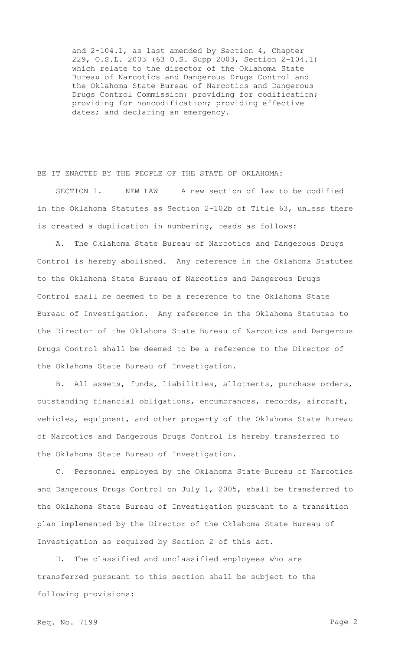and 2-104.1, as last amended by Section 4, Chapter 229, O.S.L. 2003 (63 O.S. Supp 2003, Section 2-104.1) which relate to the director of the Oklahoma State Bureau of Narcotics and Dangerous Drugs Control and the Oklahoma State Bureau of Narcotics and Dangerous Drugs Control Commission; providing for codification; providing for noncodification; providing effective dates; and declaring an emergency.

BE IT ENACTED BY THE PEOPLE OF THE STATE OF OKLAHOMA:

SECTION 1. NEW LAW A new section of law to be codified in the Oklahoma Statutes as Section 2-102b of Title 63, unless there is created a duplication in numbering, reads as follows:

A. The Oklahoma State Bureau of Narcotics and Dangerous Drugs Control is hereby abolished. Any reference in the Oklahoma Statutes to the Oklahoma State Bureau of Narcotics and Dangerous Drugs Control shall be deemed to be a reference to the Oklahoma State Bureau of Investigation. Any reference in the Oklahoma Statutes to the Director of the Oklahoma State Bureau of Narcotics and Dangerous Drugs Control shall be deemed to be a reference to the Director of the Oklahoma State Bureau of Investigation.

B. All assets, funds, liabilities, allotments, purchase orders, outstanding financial obligations, encumbrances, records, aircraft, vehicles, equipment, and other property of the Oklahoma State Bureau of Narcotics and Dangerous Drugs Control is hereby transferred to the Oklahoma State Bureau of Investigation.

C. Personnel employed by the Oklahoma State Bureau of Narcotics and Dangerous Drugs Control on July 1, 2005, shall be transferred to the Oklahoma State Bureau of Investigation pursuant to a transition plan implemented by the Director of the Oklahoma State Bureau of Investigation as required by Section 2 of this act.

D. The classified and unclassified employees who are transferred pursuant to this section shall be subject to the following provisions: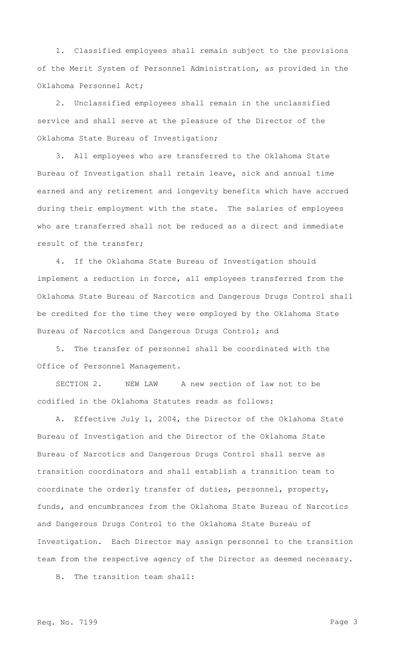1. Classified employees shall remain subject to the provisions of the Merit System of Personnel Administration, as provided in the Oklahoma Personnel Act;

2. Unclassified employees shall remain in the unclassified service and shall serve at the pleasure of the Director of the Oklahoma State Bureau of Investigation;

3. All employees who are transferred to the Oklahoma State Bureau of Investigation shall retain leave, sick and annual time earned and any retirement and longevity benefits which have accrued during their employment with the state. The salaries of employees who are transferred shall not be reduced as a direct and immediate result of the transfer;

4. If the Oklahoma State Bureau of Investigation should implement a reduction in force, all employees transferred from the Oklahoma State Bureau of Narcotics and Dangerous Drugs Control shall be credited for the time they were employed by the Oklahoma State Bureau of Narcotics and Dangerous Drugs Control; and

5. The transfer of personnel shall be coordinated with the Office of Personnel Management.

SECTION 2. NEW LAW A new section of law not to be codified in the Oklahoma Statutes reads as follows:

A. Effective July 1, 2004, the Director of the Oklahoma State Bureau of Investigation and the Director of the Oklahoma State Bureau of Narcotics and Dangerous Drugs Control shall serve as transition coordinators and shall establish a transition team to coordinate the orderly transfer of duties, personnel, property, funds, and encumbrances from the Oklahoma State Bureau of Narcotics and Dangerous Drugs Control to the Oklahoma State Bureau of Investigation. Each Director may assign personnel to the transition team from the respective agency of the Director as deemed necessary.

B. The transition team shall: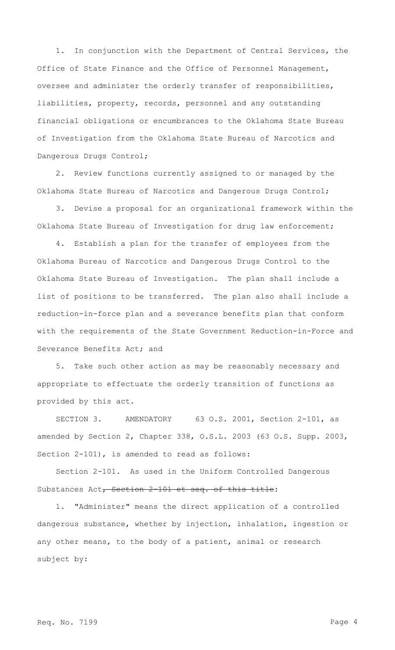1. In conjunction with the Department of Central Services, the Office of State Finance and the Office of Personnel Management, oversee and administer the orderly transfer of responsibilities, liabilities, property, records, personnel and any outstanding financial obligations or encumbrances to the Oklahoma State Bureau of Investigation from the Oklahoma State Bureau of Narcotics and Dangerous Drugs Control;

2. Review functions currently assigned to or managed by the Oklahoma State Bureau of Narcotics and Dangerous Drugs Control;

3. Devise a proposal for an organizational framework within the Oklahoma State Bureau of Investigation for drug law enforcement;

4. Establish a plan for the transfer of employees from the Oklahoma Bureau of Narcotics and Dangerous Drugs Control to the Oklahoma State Bureau of Investigation. The plan shall include a list of positions to be transferred. The plan also shall include a reduction-in-force plan and a severance benefits plan that conform with the requirements of the State Government Reduction-in-Force and Severance Benefits Act; and

5. Take such other action as may be reasonably necessary and appropriate to effectuate the orderly transition of functions as provided by this act.

SECTION 3. AMENDATORY 63 O.S. 2001, Section 2-101, as amended by Section 2, Chapter 338, O.S.L. 2003 (63 O.S. Supp. 2003, Section 2-101), is amended to read as follows:

Section 2-101. As used in the Uniform Controlled Dangerous Substances Act, Section 2-101 et seq. of this title:

1. "Administer" means the direct application of a controlled dangerous substance, whether by injection, inhalation, ingestion or any other means, to the body of a patient, animal or research subject by: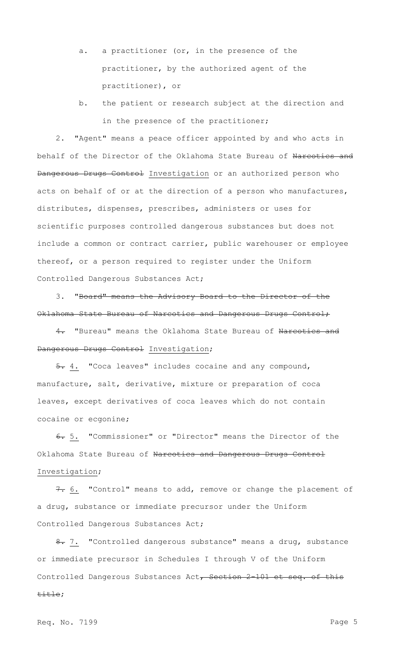- a. a practitioner (or, in the presence of the practitioner, by the authorized agent of the practitioner), or
- b. the patient or research subject at the direction and in the presence of the practitioner;

2. "Agent" means a peace officer appointed by and who acts in behalf of the Director of the Oklahoma State Bureau of Narcotics and Dangerous Drugs Control Investigation or an authorized person who acts on behalf of or at the direction of a person who manufactures, distributes, dispenses, prescribes, administers or uses for scientific purposes controlled dangerous substances but does not include a common or contract carrier, public warehouser or employee thereof, or a person required to register under the Uniform Controlled Dangerous Substances Act;

3. "Board" means the Advisory Board to the Director of the Oklahoma State Bureau of Narcotics and Dangerous Drugs Control;

4. "Bureau" means the Oklahoma State Bureau of Narcotics and Dangerous Drugs Control Investigation;

5. 4. "Coca leaves" includes cocaine and any compound, manufacture, salt, derivative, mixture or preparation of coca leaves, except derivatives of coca leaves which do not contain cocaine or ecgonine;

6. 5. "Commissioner" or "Director" means the Director of the Oklahoma State Bureau of Narcotics and Dangerous Drugs Control Investigation;

7. 6. "Control" means to add, remove or change the placement of a drug, substance or immediate precursor under the Uniform Controlled Dangerous Substances Act;

8. 7. "Controlled dangerous substance" means a drug, substance or immediate precursor in Schedules I through V of the Uniform Controlled Dangerous Substances Act, Section 2-101 et seq. of this title;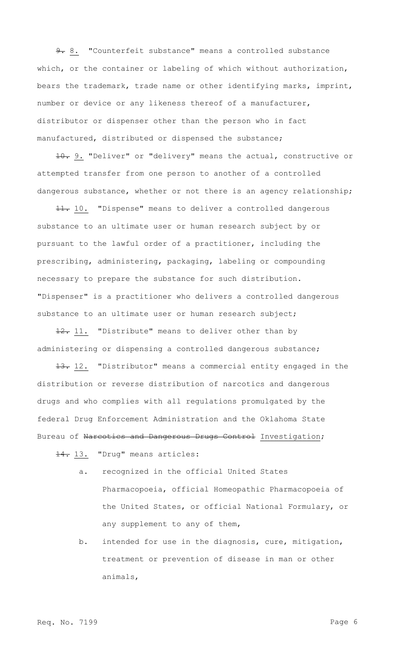9. 8. "Counterfeit substance" means a controlled substance which, or the container or labeling of which without authorization, bears the trademark, trade name or other identifying marks, imprint, number or device or any likeness thereof of a manufacturer, distributor or dispenser other than the person who in fact manufactured, distributed or dispensed the substance;

10. 9. "Deliver" or "delivery" means the actual, constructive or attempted transfer from one person to another of a controlled dangerous substance, whether or not there is an agency relationship;

11. 10. "Dispense" means to deliver a controlled dangerous substance to an ultimate user or human research subject by or pursuant to the lawful order of a practitioner, including the prescribing, administering, packaging, labeling or compounding necessary to prepare the substance for such distribution. "Dispenser" is a practitioner who delivers a controlled dangerous substance to an ultimate user or human research subject;

12. 11. "Distribute" means to deliver other than by administering or dispensing a controlled dangerous substance;

13. 12. "Distributor" means a commercial entity engaged in the distribution or reverse distribution of narcotics and dangerous drugs and who complies with all regulations promulgated by the federal Drug Enforcement Administration and the Oklahoma State Bureau of Narcotics and Dangerous Drugs Control Investigation;

14. 13. "Drug" means articles:

- a. recognized in the official United States Pharmacopoeia, official Homeopathic Pharmacopoeia of the United States, or official National Formulary, or any supplement to any of them,
- b. intended for use in the diagnosis, cure, mitigation, treatment or prevention of disease in man or other animals,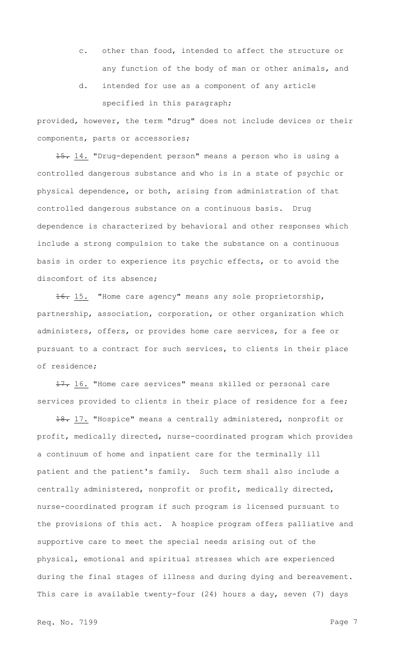- c. other than food, intended to affect the structure or any function of the body of man or other animals, and
- d. intended for use as a component of any article specified in this paragraph;

provided, however, the term "drug" does not include devices or their components, parts or accessories;

15. 14. "Drug-dependent person" means a person who is using a controlled dangerous substance and who is in a state of psychic or physical dependence, or both, arising from administration of that controlled dangerous substance on a continuous basis. Drug dependence is characterized by behavioral and other responses which include a strong compulsion to take the substance on a continuous basis in order to experience its psychic effects, or to avoid the discomfort of its absence;

16. 15. "Home care agency" means any sole proprietorship, partnership, association, corporation, or other organization which administers, offers, or provides home care services, for a fee or pursuant to a contract for such services, to clients in their place of residence;

17. 16. "Home care services" means skilled or personal care services provided to clients in their place of residence for a fee;

18. 17. "Hospice" means a centrally administered, nonprofit or profit, medically directed, nurse-coordinated program which provides a continuum of home and inpatient care for the terminally ill patient and the patient's family. Such term shall also include a centrally administered, nonprofit or profit, medically directed, nurse-coordinated program if such program is licensed pursuant to the provisions of this act. A hospice program offers palliative and supportive care to meet the special needs arising out of the physical, emotional and spiritual stresses which are experienced during the final stages of illness and during dying and bereavement. This care is available twenty-four (24) hours a day, seven (7) days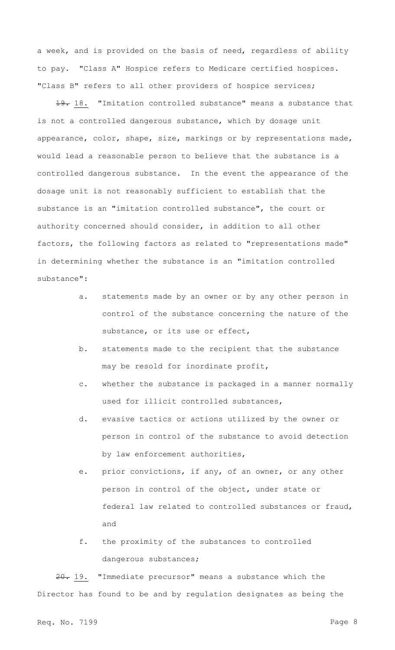a week, and is provided on the basis of need, regardless of ability to pay. "Class A" Hospice refers to Medicare certified hospices. "Class B" refers to all other providers of hospice services;

19. 18. "Imitation controlled substance" means a substance that is not a controlled dangerous substance, which by dosage unit appearance, color, shape, size, markings or by representations made, would lead a reasonable person to believe that the substance is a controlled dangerous substance. In the event the appearance of the dosage unit is not reasonably sufficient to establish that the substance is an "imitation controlled substance", the court or authority concerned should consider, in addition to all other factors, the following factors as related to "representations made" in determining whether the substance is an "imitation controlled substance":

- a. statements made by an owner or by any other person in control of the substance concerning the nature of the substance, or its use or effect,
- b. statements made to the recipient that the substance may be resold for inordinate profit,
- c. whether the substance is packaged in a manner normally used for illicit controlled substances,
- d. evasive tactics or actions utilized by the owner or person in control of the substance to avoid detection by law enforcement authorities,
- e. prior convictions, if any, of an owner, or any other person in control of the object, under state or federal law related to controlled substances or fraud, and
- f. the proximity of the substances to controlled dangerous substances;

20. 19. "Immediate precursor" means a substance which the Director has found to be and by regulation designates as being the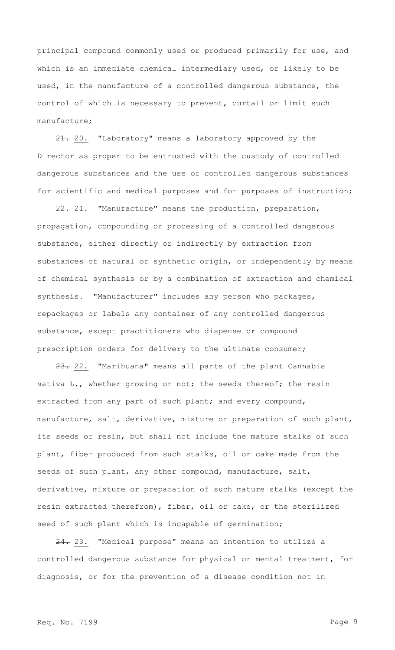principal compound commonly used or produced primarily for use, and which is an immediate chemical intermediary used, or likely to be used, in the manufacture of a controlled dangerous substance, the control of which is necessary to prevent, curtail or limit such manufacture;

21. 20. "Laboratory" means a laboratory approved by the Director as proper to be entrusted with the custody of controlled dangerous substances and the use of controlled dangerous substances for scientific and medical purposes and for purposes of instruction;

22. 21. "Manufacture" means the production, preparation, propagation, compounding or processing of a controlled dangerous substance, either directly or indirectly by extraction from substances of natural or synthetic origin, or independently by means of chemical synthesis or by a combination of extraction and chemical synthesis. "Manufacturer" includes any person who packages, repackages or labels any container of any controlled dangerous substance, except practitioners who dispense or compound prescription orders for delivery to the ultimate consumer;

23. 22. "Marihuana" means all parts of the plant Cannabis sativa L., whether growing or not; the seeds thereof; the resin extracted from any part of such plant; and every compound, manufacture, salt, derivative, mixture or preparation of such plant, its seeds or resin, but shall not include the mature stalks of such plant, fiber produced from such stalks, oil or cake made from the seeds of such plant, any other compound, manufacture, salt, derivative, mixture or preparation of such mature stalks (except the resin extracted therefrom), fiber, oil or cake, or the sterilized seed of such plant which is incapable of germination;

24. 23. "Medical purpose" means an intention to utilize a controlled dangerous substance for physical or mental treatment, for diagnosis, or for the prevention of a disease condition not in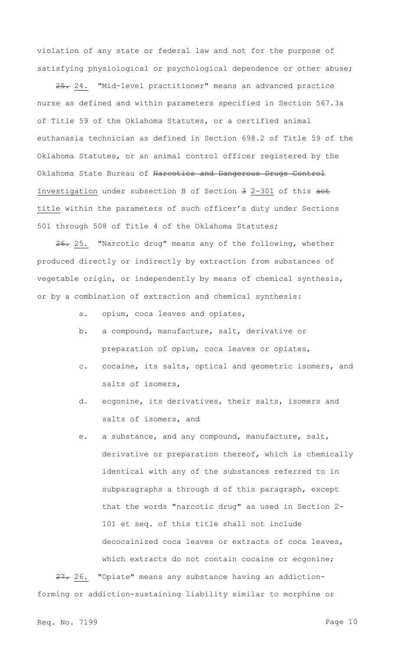violation of any state or federal law and not for the purpose of satisfying physiological or psychological dependence or other abuse;

25. 24. "Mid-level practitioner" means an advanced practice nurse as defined and within parameters specified in Section 567.3a of Title 59 of the Oklahoma Statutes, or a certified animal euthanasia technician as defined in Section 698.2 of Title 59 of the Oklahoma Statutes, or an animal control officer registered by the Oklahoma State Bureau of Narcotics and Dangerous Drugs Control Investigation under subsection B of Section 3 2-301 of this aet title within the parameters of such officer's duty under Sections 501 through 508 of Title 4 of the Oklahoma Statutes;

26. 25. "Narcotic drug" means any of the following, whether produced directly or indirectly by extraction from substances of vegetable origin, or independently by means of chemical synthesis, or by a combination of extraction and chemical synthesis:

- a. opium, coca leaves and opiates,
- b. a compound, manufacture, salt, derivative or preparation of opium, coca leaves or opiates,
- c. cocaine, its salts, optical and geometric isomers, and salts of isomers,
- d. ecgonine, its derivatives, their salts, isomers and salts of isomers, and
- e. a substance, and any compound, manufacture, salt, derivative or preparation thereof, which is chemically identical with any of the substances referred to in subparagraphs a through d of this paragraph, except that the words "narcotic drug" as used in Section 2- 101 et seq. of this title shall not include decocainized coca leaves or extracts of coca leaves, which extracts do not contain cocaine or ecgonine;

27. 26. "Opiate" means any substance having an addictionforming or addiction-sustaining liability similar to morphine or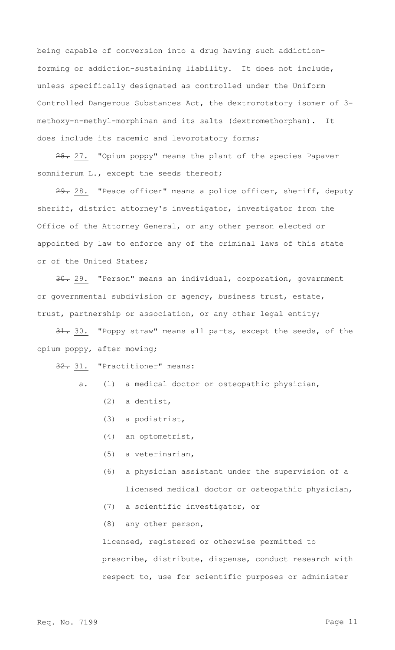being capable of conversion into a drug having such addictionforming or addiction-sustaining liability. It does not include, unless specifically designated as controlled under the Uniform Controlled Dangerous Substances Act, the dextrorotatory isomer of 3 methoxy-n-methyl-morphinan and its salts (dextromethorphan). It does include its racemic and levorotatory forms;

28. 27. "Opium poppy" means the plant of the species Papaver somniferum L., except the seeds thereof;

29. 28. "Peace officer" means a police officer, sheriff, deputy sheriff, district attorney's investigator, investigator from the Office of the Attorney General, or any other person elected or appointed by law to enforce any of the criminal laws of this state or of the United States;

30. "Person" means an individual, corporation, government or governmental subdivision or agency, business trust, estate, trust, partnership or association, or any other legal entity;

31. 30. "Poppy straw" means all parts, except the seeds, of the opium poppy, after mowing;

32. 31. "Practitioner" means:

- a. (1) a medical doctor or osteopathic physician,
	- (2) a dentist,
	- (3) a podiatrist,
	- (4) an optometrist,
	- (5) a veterinarian,
	- (6) a physician assistant under the supervision of a licensed medical doctor or osteopathic physician,
	- (7) a scientific investigator, or
	- (8) any other person,

licensed, registered or otherwise permitted to prescribe, distribute, dispense, conduct research with respect to, use for scientific purposes or administer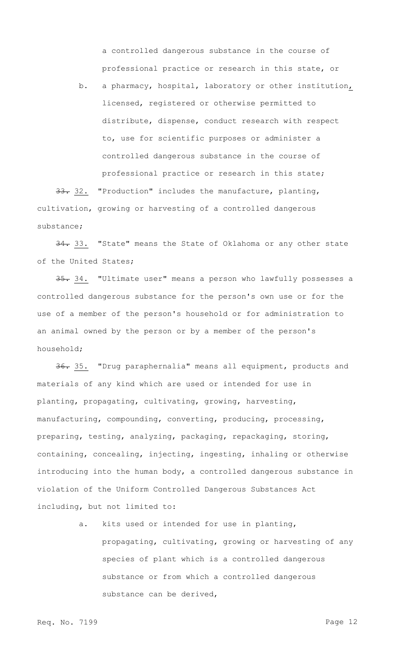a controlled dangerous substance in the course of professional practice or research in this state, or

b. a pharmacy, hospital, laboratory or other institution, licensed, registered or otherwise permitted to distribute, dispense, conduct research with respect to, use for scientific purposes or administer a controlled dangerous substance in the course of professional practice or research in this state;

33. 32. "Production" includes the manufacture, planting, cultivation, growing or harvesting of a controlled dangerous substance;

34. 33. "State" means the State of Oklahoma or any other state of the United States;

35. 34. "Ultimate user" means a person who lawfully possesses a controlled dangerous substance for the person's own use or for the use of a member of the person's household or for administration to an animal owned by the person or by a member of the person's household;

36. 35. "Drug paraphernalia" means all equipment, products and materials of any kind which are used or intended for use in planting, propagating, cultivating, growing, harvesting, manufacturing, compounding, converting, producing, processing, preparing, testing, analyzing, packaging, repackaging, storing, containing, concealing, injecting, ingesting, inhaling or otherwise introducing into the human body, a controlled dangerous substance in violation of the Uniform Controlled Dangerous Substances Act including, but not limited to:

> a. kits used or intended for use in planting, propagating, cultivating, growing or harvesting of any species of plant which is a controlled dangerous substance or from which a controlled dangerous substance can be derived,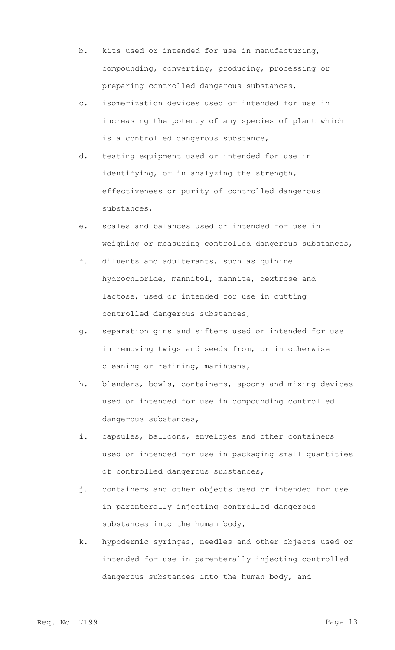- b. kits used or intended for use in manufacturing, compounding, converting, producing, processing or preparing controlled dangerous substances,
- c. isomerization devices used or intended for use in increasing the potency of any species of plant which is a controlled dangerous substance,
- d. testing equipment used or intended for use in identifying, or in analyzing the strength, effectiveness or purity of controlled dangerous substances,
- e. scales and balances used or intended for use in weighing or measuring controlled dangerous substances,
- f. diluents and adulterants, such as quinine hydrochloride, mannitol, mannite, dextrose and lactose, used or intended for use in cutting controlled dangerous substances,
- g. separation gins and sifters used or intended for use in removing twigs and seeds from, or in otherwise cleaning or refining, marihuana,
- h. blenders, bowls, containers, spoons and mixing devices used or intended for use in compounding controlled dangerous substances,
- i. capsules, balloons, envelopes and other containers used or intended for use in packaging small quantities of controlled dangerous substances,
- j. containers and other objects used or intended for use in parenterally injecting controlled dangerous substances into the human body,
- k. hypodermic syringes, needles and other objects used or intended for use in parenterally injecting controlled dangerous substances into the human body, and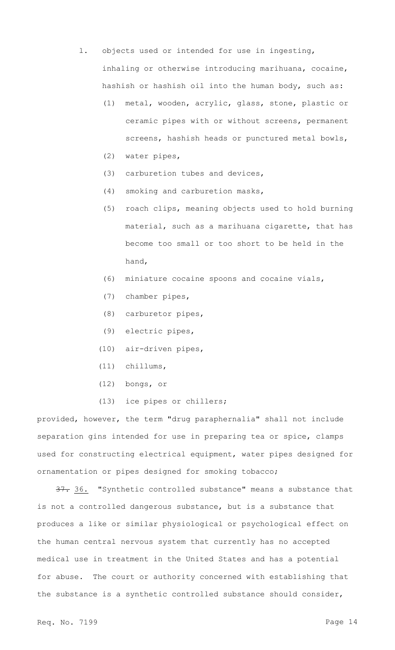- l. objects used or intended for use in ingesting, inhaling or otherwise introducing marihuana, cocaine, hashish or hashish oil into the human body, such as:
	- (1) metal, wooden, acrylic, glass, stone, plastic or ceramic pipes with or without screens, permanent screens, hashish heads or punctured metal bowls,
	- (2) water pipes,
	- (3) carburetion tubes and devices,
	- (4) smoking and carburetion masks,
	- (5) roach clips, meaning objects used to hold burning material, such as a marihuana cigarette, that has become too small or too short to be held in the hand,
	- (6) miniature cocaine spoons and cocaine vials,
	- (7) chamber pipes,
	- (8) carburetor pipes,
	- (9) electric pipes,
	- (10) air-driven pipes,
	- (11) chillums,
	- (12) bongs, or
	- (13) ice pipes or chillers;

provided, however, the term "drug paraphernalia" shall not include separation gins intended for use in preparing tea or spice, clamps used for constructing electrical equipment, water pipes designed for ornamentation or pipes designed for smoking tobacco;

37. 36. "Synthetic controlled substance" means a substance that is not a controlled dangerous substance, but is a substance that produces a like or similar physiological or psychological effect on the human central nervous system that currently has no accepted medical use in treatment in the United States and has a potential for abuse. The court or authority concerned with establishing that the substance is a synthetic controlled substance should consider,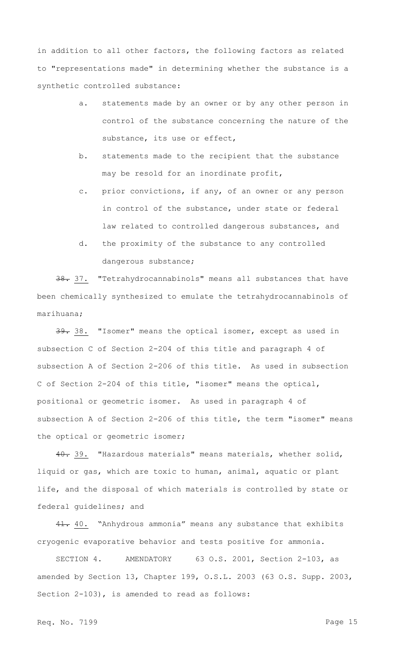in addition to all other factors, the following factors as related to "representations made" in determining whether the substance is a synthetic controlled substance:

- a. statements made by an owner or by any other person in control of the substance concerning the nature of the substance, its use or effect,
- b. statements made to the recipient that the substance may be resold for an inordinate profit,
- c. prior convictions, if any, of an owner or any person in control of the substance, under state or federal law related to controlled dangerous substances, and
- d. the proximity of the substance to any controlled dangerous substance;

38. 37. "Tetrahydrocannabinols" means all substances that have been chemically synthesized to emulate the tetrahydrocannabinols of marihuana;

39. 38. "Isomer" means the optical isomer, except as used in subsection C of Section 2-204 of this title and paragraph 4 of subsection A of Section 2-206 of this title. As used in subsection C of Section 2-204 of this title, "isomer" means the optical, positional or geometric isomer. As used in paragraph 4 of subsection A of Section 2-206 of this title, the term "isomer" means the optical or geometric isomer;

40. 39. "Hazardous materials" means materials, whether solid, liquid or gas, which are toxic to human, animal, aquatic or plant life, and the disposal of which materials is controlled by state or federal guidelines; and

41. 40. "Anhydrous ammonia" means any substance that exhibits cryogenic evaporative behavior and tests positive for ammonia.

SECTION 4. AMENDATORY 63 O.S. 2001, Section 2-103, as amended by Section 13, Chapter 199, O.S.L. 2003 (63 O.S. Supp. 2003, Section 2-103), is amended to read as follows: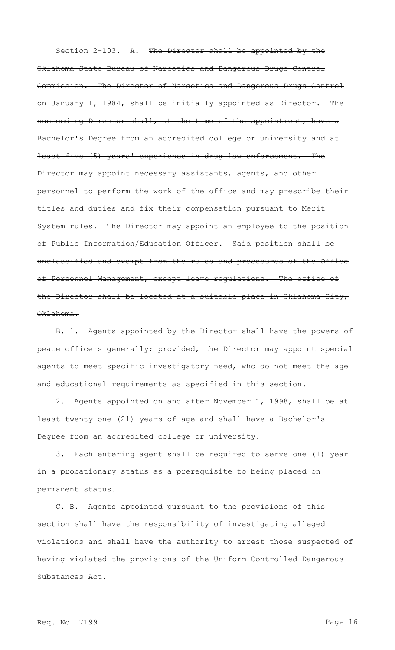Section 2-103. A. The Director shall be appointed by the Oklahoma State Bureau of Narcotics and Dangerous Drugs Control Commission. The Director of Narcotics and Dangerous Drugs Control on January 1, 1984, shall be initially appointed as Director. The succeeding Director shall, at the time of the appointment, have a Bachelor's Degree from an accredited college or university and at least five (5) years' experience in drug law enforcement. The Director may appoint necessary assistants, agents, and other personnel to perform the work of the office and may prescribe their titles and duties and fix their compensation pursuant to Merit System rules. The Director may appoint an employee to the position of Public Information/Education Officer. Said position shall be unclassified and exempt from the rules and procedures of the Office of Personnel Management, except leave regulations. The office of the Director shall be located at a suitable place in Oklahoma City, Oklahoma.

B. 1. Agents appointed by the Director shall have the powers of peace officers generally; provided, the Director may appoint special agents to meet specific investigatory need, who do not meet the age and educational requirements as specified in this section.

2. Agents appointed on and after November 1, 1998, shall be at least twenty-one (21) years of age and shall have a Bachelor's Degree from an accredited college or university.

3. Each entering agent shall be required to serve one (1) year in a probationary status as a prerequisite to being placed on permanent status.

C. B. Agents appointed pursuant to the provisions of this section shall have the responsibility of investigating alleged violations and shall have the authority to arrest those suspected of having violated the provisions of the Uniform Controlled Dangerous Substances Act.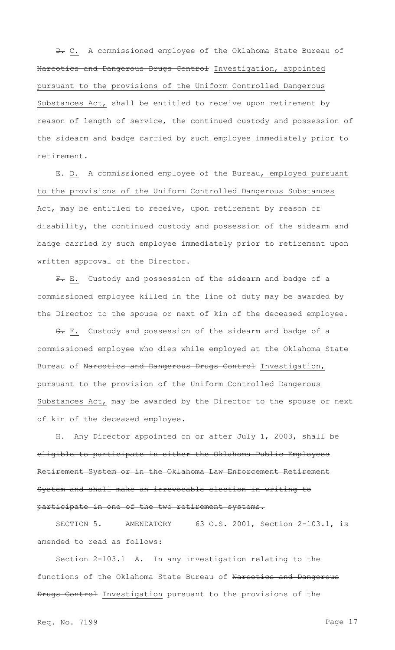$\theta$ . C. A commissioned employee of the Oklahoma State Bureau of Narcotics and Dangerous Drugs Control Investigation, appointed pursuant to the provisions of the Uniform Controlled Dangerous Substances Act, shall be entitled to receive upon retirement by reason of length of service, the continued custody and possession of the sidearm and badge carried by such employee immediately prior to retirement.

E. D. A commissioned employee of the Bureau, employed pursuant to the provisions of the Uniform Controlled Dangerous Substances Act, may be entitled to receive, upon retirement by reason of disability, the continued custody and possession of the sidearm and badge carried by such employee immediately prior to retirement upon written approval of the Director.

F. E. Custody and possession of the sidearm and badge of a commissioned employee killed in the line of duty may be awarded by the Director to the spouse or next of kin of the deceased employee.

G. F. Custody and possession of the sidearm and badge of a commissioned employee who dies while employed at the Oklahoma State Bureau of Narcotics and Dangerous Drugs Control Investigation, pursuant to the provision of the Uniform Controlled Dangerous Substances Act, may be awarded by the Director to the spouse or next of kin of the deceased employee.

H. Any Director appointed on or after July 1, 2003, shall be eligible to participate in either the Oklahoma Public Employees Retirement System or in the Oklahoma Law Enforcement Retirement System and shall make an irrevocable election in writing to participate in one of the two retirement systems.

SECTION 5. AMENDATORY 63 O.S. 2001, Section 2-103.1, is amended to read as follows:

Section 2-103.1 A. In any investigation relating to the functions of the Oklahoma State Bureau of Narcotics and Dangerous Drugs Control Investigation pursuant to the provisions of the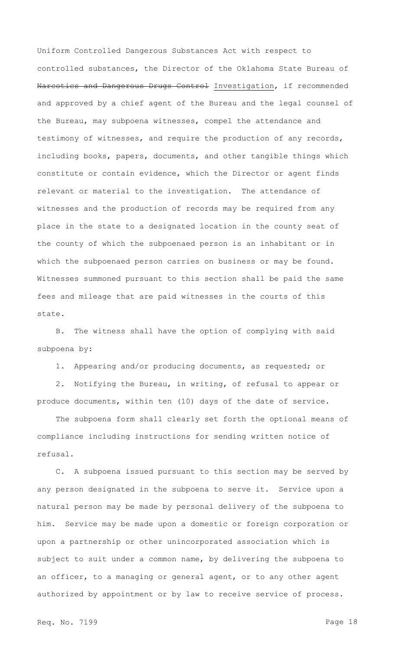Uniform Controlled Dangerous Substances Act with respect to controlled substances, the Director of the Oklahoma State Bureau of Narcotics and Dangerous Drugs Control Investigation, if recommended and approved by a chief agent of the Bureau and the legal counsel of the Bureau, may subpoena witnesses, compel the attendance and testimony of witnesses, and require the production of any records, including books, papers, documents, and other tangible things which constitute or contain evidence, which the Director or agent finds relevant or material to the investigation. The attendance of witnesses and the production of records may be required from any place in the state to a designated location in the county seat of the county of which the subpoenaed person is an inhabitant or in which the subpoenaed person carries on business or may be found. Witnesses summoned pursuant to this section shall be paid the same fees and mileage that are paid witnesses in the courts of this state.

B. The witness shall have the option of complying with said subpoena by:

1. Appearing and/or producing documents, as requested; or

2. Notifying the Bureau, in writing, of refusal to appear or produce documents, within ten (10) days of the date of service.

The subpoena form shall clearly set forth the optional means of compliance including instructions for sending written notice of refusal.

C. A subpoena issued pursuant to this section may be served by any person designated in the subpoena to serve it. Service upon a natural person may be made by personal delivery of the subpoena to him. Service may be made upon a domestic or foreign corporation or upon a partnership or other unincorporated association which is subject to suit under a common name, by delivering the subpoena to an officer, to a managing or general agent, or to any other agent authorized by appointment or by law to receive service of process.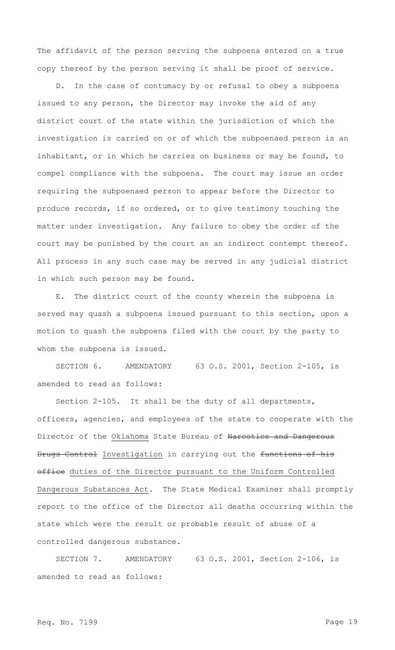The affidavit of the person serving the subpoena entered on a true copy thereof by the person serving it shall be proof of service.

D. In the case of contumacy by or refusal to obey a subpoena issued to any person, the Director may invoke the aid of any district court of the state within the jurisdiction of which the investigation is carried on or of which the subpoenaed person is an inhabitant, or in which he carries on business or may be found, to compel compliance with the subpoena. The court may issue an order requiring the subpoenaed person to appear before the Director to produce records, if so ordered, or to give testimony touching the matter under investigation. Any failure to obey the order of the court may be punished by the court as an indirect contempt thereof. All process in any such case may be served in any judicial district in which such person may be found.

E. The district court of the county wherein the subpoena is served may quash a subpoena issued pursuant to this section, upon a motion to quash the subpoena filed with the court by the party to whom the subpoena is issued.

SECTION 6. AMENDATORY 63 O.S. 2001, Section 2-105, is amended to read as follows:

Section 2-105. It shall be the duty of all departments, officers, agencies, and employees of the state to cooperate with the Director of the Oklahoma State Bureau of Narcotics and Dangerous Drugs Control Investigation in carrying out the functions of his office duties of the Director pursuant to the Uniform Controlled Dangerous Substances Act. The State Medical Examiner shall promptly report to the office of the Director all deaths occurring within the state which were the result or probable result of abuse of a controlled dangerous substance.

SECTION 7. AMENDATORY 63 O.S. 2001, Section 2-106, is amended to read as follows: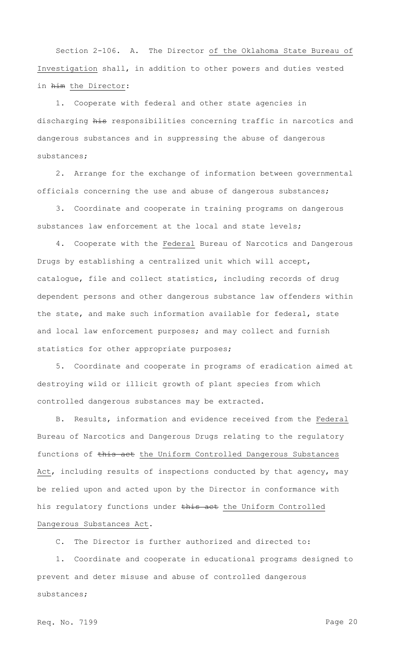Section 2-106. A. The Director of the Oklahoma State Bureau of Investigation shall, in addition to other powers and duties vested in him the Director:

1. Cooperate with federal and other state agencies in discharging his responsibilities concerning traffic in narcotics and dangerous substances and in suppressing the abuse of dangerous substances;

2. Arrange for the exchange of information between governmental officials concerning the use and abuse of dangerous substances;

3. Coordinate and cooperate in training programs on dangerous substances law enforcement at the local and state levels;

4. Cooperate with the **Federal** Bureau of Narcotics and Dangerous Drugs by establishing a centralized unit which will accept, catalogue, file and collect statistics, including records of drug dependent persons and other dangerous substance law offenders within the state, and make such information available for federal, state and local law enforcement purposes; and may collect and furnish statistics for other appropriate purposes;

5. Coordinate and cooperate in programs of eradication aimed at destroying wild or illicit growth of plant species from which controlled dangerous substances may be extracted.

B. Results, information and evidence received from the Federal Bureau of Narcotics and Dangerous Drugs relating to the regulatory functions of this act the Uniform Controlled Dangerous Substances Act, including results of inspections conducted by that agency, may be relied upon and acted upon by the Director in conformance with his regulatory functions under this act the Uniform Controlled Dangerous Substances Act.

C. The Director is further authorized and directed to:

1. Coordinate and cooperate in educational programs designed to prevent and deter misuse and abuse of controlled dangerous substances;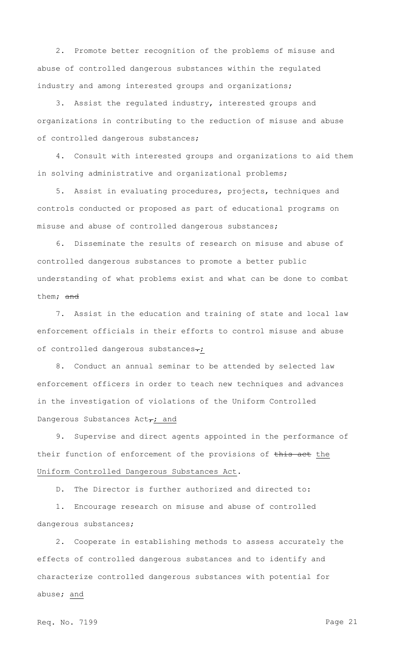2. Promote better recognition of the problems of misuse and abuse of controlled dangerous substances within the regulated industry and among interested groups and organizations;

3. Assist the regulated industry, interested groups and organizations in contributing to the reduction of misuse and abuse of controlled dangerous substances;

4. Consult with interested groups and organizations to aid them in solving administrative and organizational problems;

5. Assist in evaluating procedures, projects, techniques and controls conducted or proposed as part of educational programs on misuse and abuse of controlled dangerous substances;

6. Disseminate the results of research on misuse and abuse of controlled dangerous substances to promote a better public understanding of what problems exist and what can be done to combat them; and

7. Assist in the education and training of state and local law enforcement officials in their efforts to control misuse and abuse of controlled dangerous substances-;

8. Conduct an annual seminar to be attended by selected law enforcement officers in order to teach new techniques and advances in the investigation of violations of the Uniform Controlled Dangerous Substances  $Act_{\tau}$ ; and

9. Supervise and direct agents appointed in the performance of their function of enforcement of the provisions of this act the Uniform Controlled Dangerous Substances Act.

D. The Director is further authorized and directed to:

1. Encourage research on misuse and abuse of controlled dangerous substances;

2. Cooperate in establishing methods to assess accurately the effects of controlled dangerous substances and to identify and characterize controlled dangerous substances with potential for abuse; and

Req. No. 7199 Page 21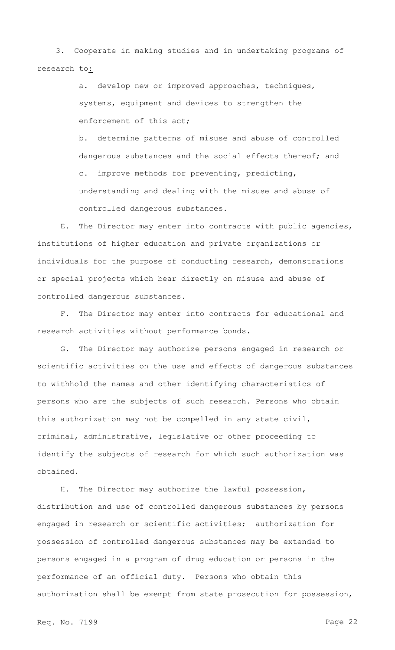3. Cooperate in making studies and in undertaking programs of research to:

> a. develop new or improved approaches, techniques, systems, equipment and devices to strengthen the enforcement of this act;

b. determine patterns of misuse and abuse of controlled dangerous substances and the social effects thereof; and c. improve methods for preventing, predicting, understanding and dealing with the misuse and abuse of controlled dangerous substances.

E. The Director may enter into contracts with public agencies, institutions of higher education and private organizations or individuals for the purpose of conducting research, demonstrations or special projects which bear directly on misuse and abuse of controlled dangerous substances.

F. The Director may enter into contracts for educational and research activities without performance bonds.

G. The Director may authorize persons engaged in research or scientific activities on the use and effects of dangerous substances to withhold the names and other identifying characteristics of persons who are the subjects of such research. Persons who obtain this authorization may not be compelled in any state civil, criminal, administrative, legislative or other proceeding to identify the subjects of research for which such authorization was obtained.

H. The Director may authorize the lawful possession, distribution and use of controlled dangerous substances by persons engaged in research or scientific activities; authorization for possession of controlled dangerous substances may be extended to persons engaged in a program of drug education or persons in the performance of an official duty. Persons who obtain this authorization shall be exempt from state prosecution for possession,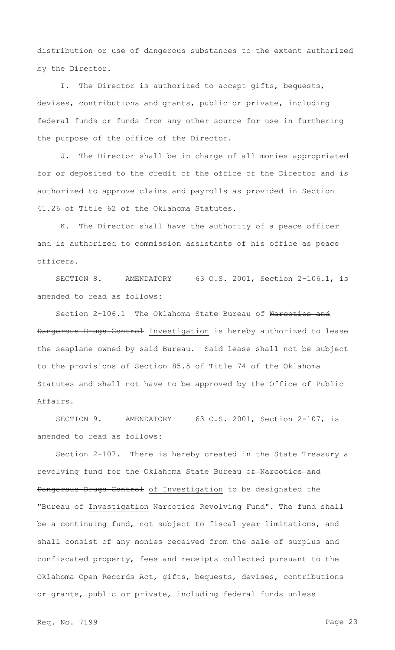distribution or use of dangerous substances to the extent authorized by the Director.

I. The Director is authorized to accept gifts, bequests, devises, contributions and grants, public or private, including federal funds or funds from any other source for use in furthering the purpose of the office of the Director.

J. The Director shall be in charge of all monies appropriated for or deposited to the credit of the office of the Director and is authorized to approve claims and payrolls as provided in Section 41.26 of Title 62 of the Oklahoma Statutes.

K. The Director shall have the authority of a peace officer and is authorized to commission assistants of his office as peace officers.

SECTION 8. AMENDATORY 63 O.S. 2001, Section 2-106.1, is amended to read as follows:

Section 2-106.1 The Oklahoma State Bureau of Narcotics and Dangerous Drugs Control Investigation is hereby authorized to lease the seaplane owned by said Bureau. Said lease shall not be subject to the provisions of Section 85.5 of Title 74 of the Oklahoma Statutes and shall not have to be approved by the Office of Public Affairs.

SECTION 9. AMENDATORY 63 O.S. 2001, Section 2-107, is amended to read as follows:

Section 2-107. There is hereby created in the State Treasury a revolving fund for the Oklahoma State Bureau of Narcotics and Dangerous Drugs Control of Investigation to be designated the "Bureau of Investigation Narcotics Revolving Fund". The fund shall be a continuing fund, not subject to fiscal year limitations, and shall consist of any monies received from the sale of surplus and confiscated property, fees and receipts collected pursuant to the Oklahoma Open Records Act, gifts, bequests, devises, contributions or grants, public or private, including federal funds unless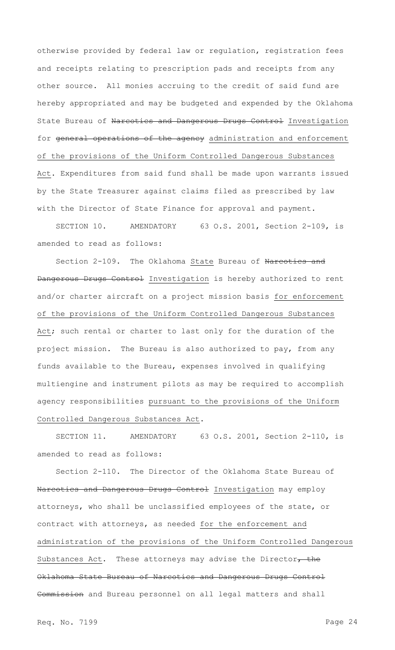otherwise provided by federal law or regulation, registration fees and receipts relating to prescription pads and receipts from any other source. All monies accruing to the credit of said fund are hereby appropriated and may be budgeted and expended by the Oklahoma State Bureau of Narcotics and Dangerous Drugs Control Investigation for general operations of the agency administration and enforcement of the provisions of the Uniform Controlled Dangerous Substances Act. Expenditures from said fund shall be made upon warrants issued by the State Treasurer against claims filed as prescribed by law with the Director of State Finance for approval and payment.

SECTION 10. AMENDATORY 63 O.S. 2001, Section 2-109, is amended to read as follows:

Section 2-109. The Oklahoma State Bureau of Narcotics and Dangerous Drugs Control Investigation is hereby authorized to rent and/or charter aircraft on a project mission basis for enforcement of the provisions of the Uniform Controlled Dangerous Substances Act; such rental or charter to last only for the duration of the project mission. The Bureau is also authorized to pay, from any funds available to the Bureau, expenses involved in qualifying multiengine and instrument pilots as may be required to accomplish agency responsibilities pursuant to the provisions of the Uniform Controlled Dangerous Substances Act.

SECTION 11. AMENDATORY 63 O.S. 2001, Section 2-110, is amended to read as follows:

Section 2-110. The Director of the Oklahoma State Bureau of Narcotics and Dangerous Drugs Control Investigation may employ attorneys, who shall be unclassified employees of the state, or contract with attorneys, as needed for the enforcement and administration of the provisions of the Uniform Controlled Dangerous Substances Act. These attorneys may advise the Director $\tau$  the Oklahoma State Bureau of Narcotics and Dangerous Drugs Control Commission and Bureau personnel on all legal matters and shall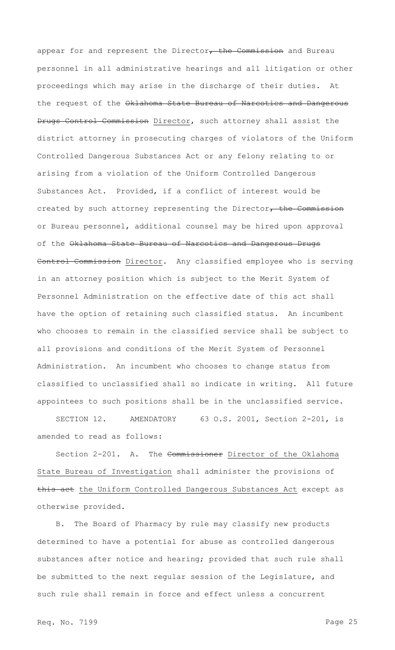appear for and represent the Director, the Commission and Bureau personnel in all administrative hearings and all litigation or other proceedings which may arise in the discharge of their duties. At the request of the Oklahoma State Bureau of Narcotics and Dangerous Drugs Control Commission Director, such attorney shall assist the district attorney in prosecuting charges of violators of the Uniform Controlled Dangerous Substances Act or any felony relating to or arising from a violation of the Uniform Controlled Dangerous Substances Act. Provided, if a conflict of interest would be created by such attorney representing the Director, the Commission or Bureau personnel, additional counsel may be hired upon approval of the Oklahoma State Bureau of Narcotics and Dangerous Drugs Control Commission Director. Any classified employee who is serving in an attorney position which is subject to the Merit System of Personnel Administration on the effective date of this act shall have the option of retaining such classified status. An incumbent who chooses to remain in the classified service shall be subject to all provisions and conditions of the Merit System of Personnel Administration. An incumbent who chooses to change status from classified to unclassified shall so indicate in writing. All future appointees to such positions shall be in the unclassified service.

SECTION 12. AMENDATORY 63 O.S. 2001, Section 2-201, is amended to read as follows:

Section 2-201. A. The Commissioner Director of the Oklahoma State Bureau of Investigation shall administer the provisions of this act the Uniform Controlled Dangerous Substances Act except as otherwise provided.

B. The Board of Pharmacy by rule may classify new products determined to have a potential for abuse as controlled dangerous substances after notice and hearing; provided that such rule shall be submitted to the next regular session of the Legislature, and such rule shall remain in force and effect unless a concurrent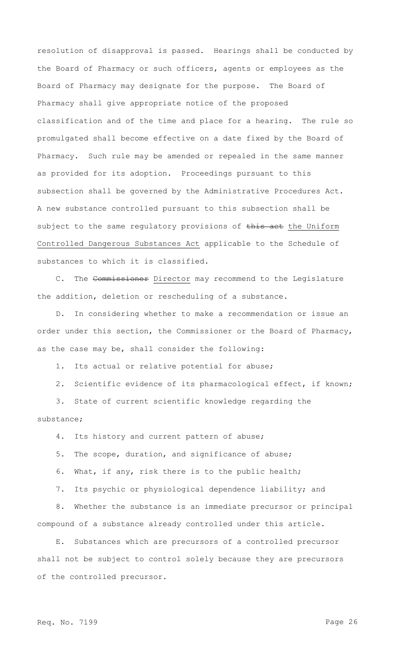resolution of disapproval is passed. Hearings shall be conducted by the Board of Pharmacy or such officers, agents or employees as the Board of Pharmacy may designate for the purpose. The Board of Pharmacy shall give appropriate notice of the proposed classification and of the time and place for a hearing. The rule so promulgated shall become effective on a date fixed by the Board of Pharmacy. Such rule may be amended or repealed in the same manner as provided for its adoption. Proceedings pursuant to this subsection shall be governed by the Administrative Procedures Act. A new substance controlled pursuant to this subsection shall be subject to the same regulatory provisions of this act the Uniform Controlled Dangerous Substances Act applicable to the Schedule of substances to which it is classified.

C. The Commissioner Director may recommend to the Legislature the addition, deletion or rescheduling of a substance.

D. In considering whether to make a recommendation or issue an order under this section, the Commissioner or the Board of Pharmacy, as the case may be, shall consider the following:

1. Its actual or relative potential for abuse;

2. Scientific evidence of its pharmacological effect, if known;

3. State of current scientific knowledge regarding the substance;

4. Its history and current pattern of abuse;

5. The scope, duration, and significance of abuse;

6. What, if any, risk there is to the public health;

7. Its psychic or physiological dependence liability; and

8. Whether the substance is an immediate precursor or principal compound of a substance already controlled under this article.

E. Substances which are precursors of a controlled precursor shall not be subject to control solely because they are precursors of the controlled precursor.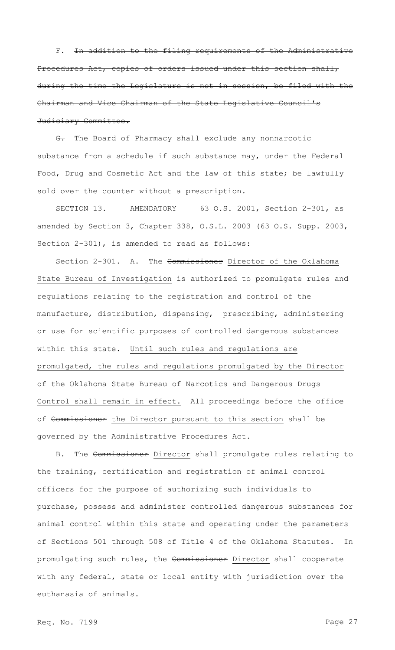F. In addition to the filing requirements of the Administrative Procedures Act, copies of orders issued under this section shall, during the time the Legislature is not in session, be filed with the Chairman and Vice Chairman of the State Legislative Council's Judiciary Committee.

G. The Board of Pharmacy shall exclude any nonnarcotic substance from a schedule if such substance may, under the Federal Food, Drug and Cosmetic Act and the law of this state; be lawfully sold over the counter without a prescription.

SECTION 13. AMENDATORY 63 O.S. 2001, Section 2-301, as amended by Section 3, Chapter 338, O.S.L. 2003 (63 O.S. Supp. 2003, Section 2-301), is amended to read as follows:

Section 2-301. A. The Commissioner Director of the Oklahoma State Bureau of Investigation is authorized to promulgate rules and regulations relating to the registration and control of the manufacture, distribution, dispensing, prescribing, administering or use for scientific purposes of controlled dangerous substances within this state. Until such rules and regulations are promulgated, the rules and regulations promulgated by the Director of the Oklahoma State Bureau of Narcotics and Dangerous Drugs Control shall remain in effect. All proceedings before the office of Commissioner the Director pursuant to this section shall be governed by the Administrative Procedures Act.

B. The Commissioner Director shall promulgate rules relating to the training, certification and registration of animal control officers for the purpose of authorizing such individuals to purchase, possess and administer controlled dangerous substances for animal control within this state and operating under the parameters of Sections 501 through 508 of Title 4 of the Oklahoma Statutes. In promulgating such rules, the Commissioner Director shall cooperate with any federal, state or local entity with jurisdiction over the euthanasia of animals.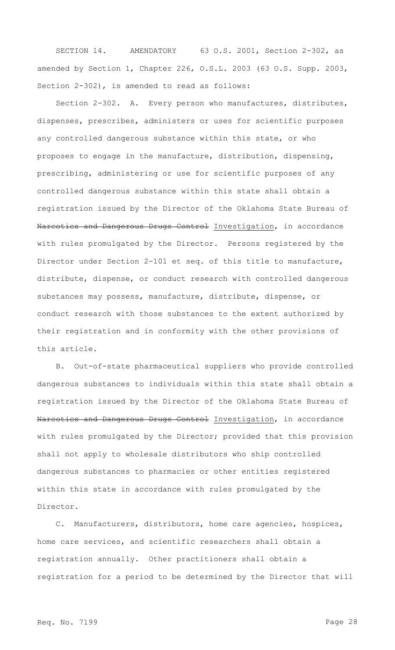SECTION 14. AMENDATORY 63 O.S. 2001, Section 2-302, as amended by Section 1, Chapter 226, O.S.L. 2003 (63 O.S. Supp. 2003, Section 2-302), is amended to read as follows:

Section 2-302. A. Every person who manufactures, distributes, dispenses, prescribes, administers or uses for scientific purposes any controlled dangerous substance within this state, or who proposes to engage in the manufacture, distribution, dispensing, prescribing, administering or use for scientific purposes of any controlled dangerous substance within this state shall obtain a registration issued by the Director of the Oklahoma State Bureau of Narcotics and Dangerous Drugs Control Investigation, in accordance with rules promulgated by the Director. Persons registered by the Director under Section 2-101 et seq. of this title to manufacture, distribute, dispense, or conduct research with controlled dangerous substances may possess, manufacture, distribute, dispense, or conduct research with those substances to the extent authorized by their registration and in conformity with the other provisions of this article.

B. Out-of-state pharmaceutical suppliers who provide controlled dangerous substances to individuals within this state shall obtain a registration issued by the Director of the Oklahoma State Bureau of Narcotics and Dangerous Drugs Control Investigation, in accordance with rules promulgated by the Director; provided that this provision shall not apply to wholesale distributors who ship controlled dangerous substances to pharmacies or other entities registered within this state in accordance with rules promulgated by the Director.

C. Manufacturers, distributors, home care agencies, hospices, home care services, and scientific researchers shall obtain a registration annually. Other practitioners shall obtain a registration for a period to be determined by the Director that will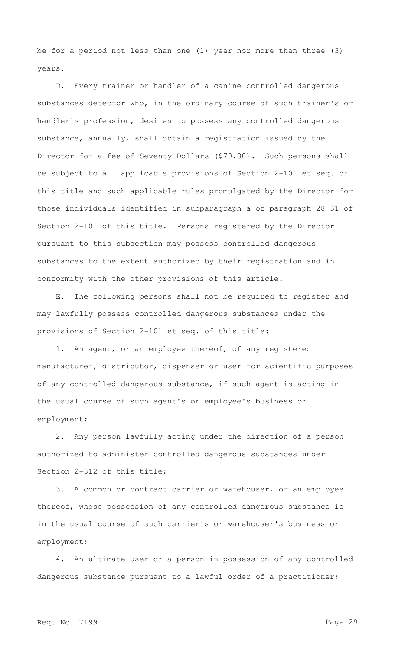be for a period not less than one (1) year nor more than three (3) years.

D. Every trainer or handler of a canine controlled dangerous substances detector who, in the ordinary course of such trainer's or handler's profession, desires to possess any controlled dangerous substance, annually, shall obtain a registration issued by the Director for a fee of Seventy Dollars (\$70.00). Such persons shall be subject to all applicable provisions of Section 2-101 et seq. of this title and such applicable rules promulgated by the Director for those individuals identified in subparagraph a of paragraph 28 31 of Section 2-101 of this title. Persons registered by the Director pursuant to this subsection may possess controlled dangerous substances to the extent authorized by their registration and in conformity with the other provisions of this article.

E. The following persons shall not be required to register and may lawfully possess controlled dangerous substances under the provisions of Section 2-101 et seq. of this title:

1. An agent, or an employee thereof, of any registered manufacturer, distributor, dispenser or user for scientific purposes of any controlled dangerous substance, if such agent is acting in the usual course of such agent's or employee's business or employment;

2. Any person lawfully acting under the direction of a person authorized to administer controlled dangerous substances under Section 2-312 of this title;

3. A common or contract carrier or warehouser, or an employee thereof, whose possession of any controlled dangerous substance is in the usual course of such carrier's or warehouser's business or employment;

4. An ultimate user or a person in possession of any controlled dangerous substance pursuant to a lawful order of a practitioner;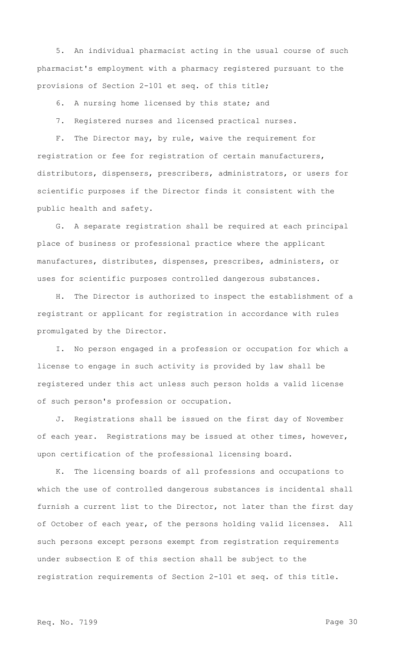5. An individual pharmacist acting in the usual course of such pharmacist's employment with a pharmacy registered pursuant to the provisions of Section 2-101 et seq. of this title;

6. A nursing home licensed by this state; and

7. Registered nurses and licensed practical nurses.

F. The Director may, by rule, waive the requirement for registration or fee for registration of certain manufacturers, distributors, dispensers, prescribers, administrators, or users for scientific purposes if the Director finds it consistent with the public health and safety.

G. A separate registration shall be required at each principal place of business or professional practice where the applicant manufactures, distributes, dispenses, prescribes, administers, or uses for scientific purposes controlled dangerous substances.

H. The Director is authorized to inspect the establishment of a registrant or applicant for registration in accordance with rules promulgated by the Director.

I. No person engaged in a profession or occupation for which a license to engage in such activity is provided by law shall be registered under this act unless such person holds a valid license of such person's profession or occupation.

J. Registrations shall be issued on the first day of November of each year. Registrations may be issued at other times, however, upon certification of the professional licensing board.

K. The licensing boards of all professions and occupations to which the use of controlled dangerous substances is incidental shall furnish a current list to the Director, not later than the first day of October of each year, of the persons holding valid licenses. All such persons except persons exempt from registration requirements under subsection E of this section shall be subject to the registration requirements of Section 2-101 et seq. of this title.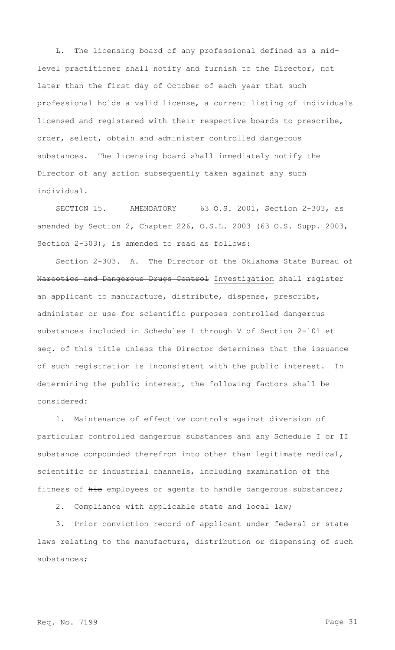L. The licensing board of any professional defined as a midlevel practitioner shall notify and furnish to the Director, not later than the first day of October of each year that such professional holds a valid license, a current listing of individuals licensed and registered with their respective boards to prescribe, order, select, obtain and administer controlled dangerous substances. The licensing board shall immediately notify the Director of any action subsequently taken against any such individual.

SECTION 15. AMENDATORY 63 O.S. 2001, Section 2-303, as amended by Section 2, Chapter 226, O.S.L. 2003 (63 O.S. Supp. 2003, Section 2-303), is amended to read as follows:

Section 2-303. A. The Director of the Oklahoma State Bureau of Narcotics and Dangerous Drugs Control Investigation shall register an applicant to manufacture, distribute, dispense, prescribe, administer or use for scientific purposes controlled dangerous substances included in Schedules I through V of Section 2-101 et seq. of this title unless the Director determines that the issuance of such registration is inconsistent with the public interest. In determining the public interest, the following factors shall be considered:

1. Maintenance of effective controls against diversion of particular controlled dangerous substances and any Schedule I or II substance compounded therefrom into other than legitimate medical, scientific or industrial channels, including examination of the fitness of his employees or agents to handle dangerous substances;

2. Compliance with applicable state and local law;

3. Prior conviction record of applicant under federal or state laws relating to the manufacture, distribution or dispensing of such substances;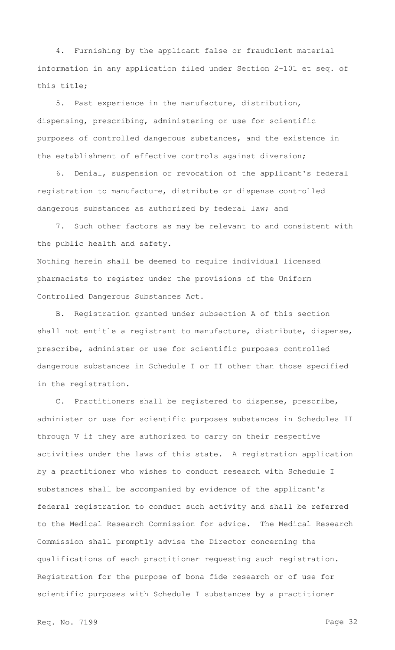4. Furnishing by the applicant false or fraudulent material information in any application filed under Section 2-101 et seq. of this title;

5. Past experience in the manufacture, distribution, dispensing, prescribing, administering or use for scientific purposes of controlled dangerous substances, and the existence in the establishment of effective controls against diversion;

6. Denial, suspension or revocation of the applicant's federal registration to manufacture, distribute or dispense controlled dangerous substances as authorized by federal law; and

7. Such other factors as may be relevant to and consistent with the public health and safety.

Nothing herein shall be deemed to require individual licensed pharmacists to register under the provisions of the Uniform Controlled Dangerous Substances Act.

B. Registration granted under subsection A of this section shall not entitle a registrant to manufacture, distribute, dispense, prescribe, administer or use for scientific purposes controlled dangerous substances in Schedule I or II other than those specified in the registration.

C. Practitioners shall be registered to dispense, prescribe, administer or use for scientific purposes substances in Schedules II through V if they are authorized to carry on their respective activities under the laws of this state. A registration application by a practitioner who wishes to conduct research with Schedule I substances shall be accompanied by evidence of the applicant's federal registration to conduct such activity and shall be referred to the Medical Research Commission for advice. The Medical Research Commission shall promptly advise the Director concerning the qualifications of each practitioner requesting such registration. Registration for the purpose of bona fide research or of use for scientific purposes with Schedule I substances by a practitioner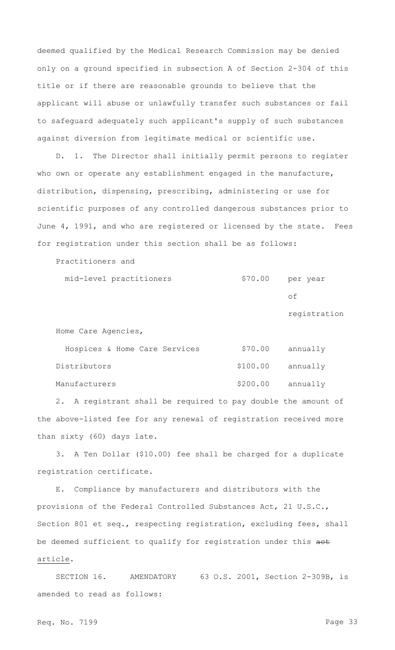deemed qualified by the Medical Research Commission may be denied only on a ground specified in subsection A of Section 2-304 of this title or if there are reasonable grounds to believe that the applicant will abuse or unlawfully transfer such substances or fail to safeguard adequately such applicant's supply of such substances against diversion from legitimate medical or scientific use.

D. 1. The Director shall initially permit persons to register who own or operate any establishment engaged in the manufacture, distribution, dispensing, prescribing, administering or use for scientific purposes of any controlled dangerous substances prior to June 4, 1991, and who are registered or licensed by the state. Fees for registration under this section shall be as follows:

Practitioners and

mid-level practitioners  $$70.00$  per year

of

registration

Home Care Agencies,

| Hospices & Home Care Services | \$70.00 annually   |
|-------------------------------|--------------------|
| Distributors                  | $$100.00$ annually |
| Manufacturers                 | \$200.00 annually  |

2. A registrant shall be required to pay double the amount of the above-listed fee for any renewal of registration received more than sixty (60) days late.

3. A Ten Dollar (\$10.00) fee shall be charged for a duplicate registration certificate.

E. Compliance by manufacturers and distributors with the provisions of the Federal Controlled Substances Act, 21 U.S.C., Section 801 et seq., respecting registration, excluding fees, shall be deemed sufficient to qualify for registration under this act article.

SECTION 16. AMENDATORY 63 O.S. 2001, Section 2-309B, is amended to read as follows:

Req. No. 7199 Page 33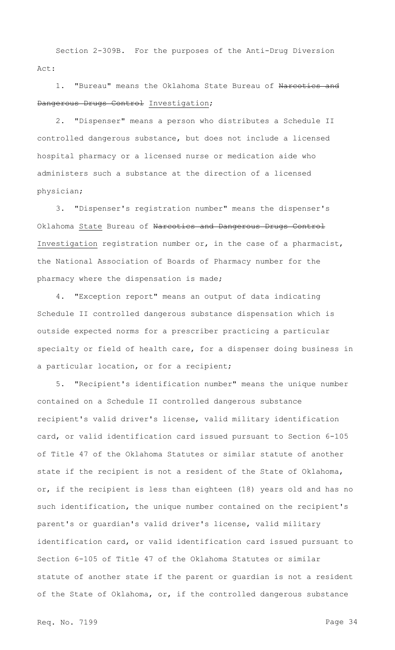Section 2-309B. For the purposes of the Anti-Drug Diversion Act:

1. "Bureau" means the Oklahoma State Bureau of Narcotics and Dangerous Drugs Control Investigation;

2. "Dispenser" means a person who distributes a Schedule II controlled dangerous substance, but does not include a licensed hospital pharmacy or a licensed nurse or medication aide who administers such a substance at the direction of a licensed physician;

3. "Dispenser's registration number" means the dispenser's Oklahoma State Bureau of Narcotics and Dangerous Drugs Control Investigation registration number or, in the case of a pharmacist, the National Association of Boards of Pharmacy number for the pharmacy where the dispensation is made;

4. "Exception report" means an output of data indicating Schedule II controlled dangerous substance dispensation which is outside expected norms for a prescriber practicing a particular specialty or field of health care, for a dispenser doing business in a particular location, or for a recipient;

5. "Recipient's identification number" means the unique number contained on a Schedule II controlled dangerous substance recipient's valid driver's license, valid military identification card, or valid identification card issued pursuant to Section 6-105 of Title 47 of the Oklahoma Statutes or similar statute of another state if the recipient is not a resident of the State of Oklahoma, or, if the recipient is less than eighteen (18) years old and has no such identification, the unique number contained on the recipient's parent's or guardian's valid driver's license, valid military identification card, or valid identification card issued pursuant to Section 6-105 of Title 47 of the Oklahoma Statutes or similar statute of another state if the parent or guardian is not a resident of the State of Oklahoma, or, if the controlled dangerous substance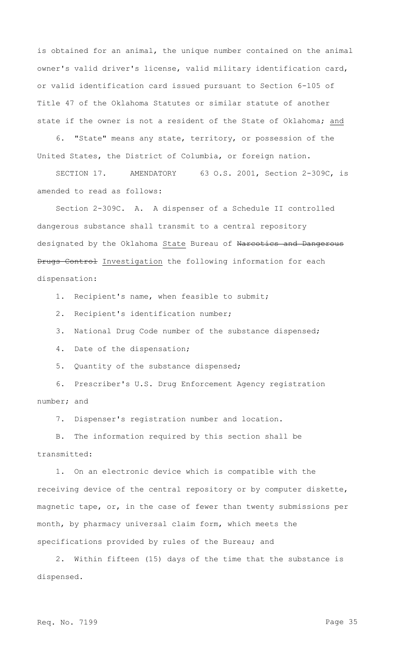is obtained for an animal, the unique number contained on the animal owner's valid driver's license, valid military identification card, or valid identification card issued pursuant to Section 6-105 of Title 47 of the Oklahoma Statutes or similar statute of another state if the owner is not a resident of the State of Oklahoma; and

6. "State" means any state, territory, or possession of the United States, the District of Columbia, or foreign nation.

SECTION 17. AMENDATORY 63 O.S. 2001, Section 2-309C, is amended to read as follows:

Section 2-309C. A. A dispenser of a Schedule II controlled dangerous substance shall transmit to a central repository designated by the Oklahoma State Bureau of Narcotics and Dangerous Drugs Control Investigation the following information for each dispensation:

1. Recipient's name, when feasible to submit;

2. Recipient's identification number;

3. National Drug Code number of the substance dispensed;

4. Date of the dispensation;

5. Quantity of the substance dispensed;

6. Prescriber's U.S. Drug Enforcement Agency registration number; and

7. Dispenser's registration number and location.

B. The information required by this section shall be transmitted:

1. On an electronic device which is compatible with the receiving device of the central repository or by computer diskette, magnetic tape, or, in the case of fewer than twenty submissions per month, by pharmacy universal claim form, which meets the specifications provided by rules of the Bureau; and

2. Within fifteen (15) days of the time that the substance is dispensed.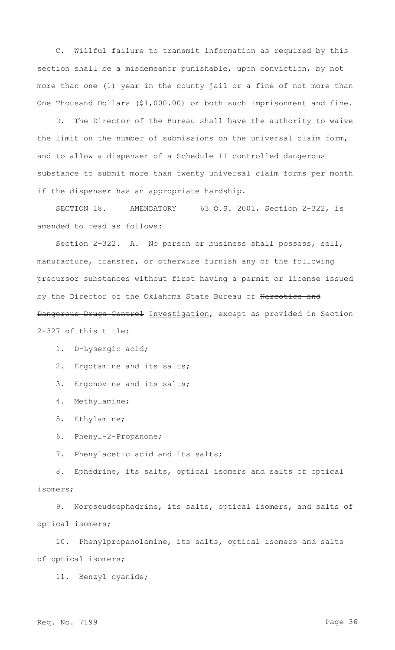C. Willful failure to transmit information as required by this section shall be a misdemeanor punishable, upon conviction, by not more than one (1) year in the county jail or a fine of not more than One Thousand Dollars (\$1,000.00) or both such imprisonment and fine.

D. The Director of the Bureau shall have the authority to waive the limit on the number of submissions on the universal claim form, and to allow a dispenser of a Schedule II controlled dangerous substance to submit more than twenty universal claim forms per month if the dispenser has an appropriate hardship.

SECTION 18. AMENDATORY 63 O.S. 2001, Section 2-322, is amended to read as follows:

Section 2-322. A. No person or business shall possess, sell, manufacture, transfer, or otherwise furnish any of the following precursor substances without first having a permit or license issued by the Director of the Oklahoma State Bureau of Narcotics and Dangerous Drugs Control Investigation, except as provided in Section 2-327 of this title:

1. D-Lysergic acid;

2. Ergotamine and its salts;

3. Ergonovine and its salts;

4. Methylamine;

5. Ethylamine;

6. Phenyl-2-Propanone;

7. Phenylacetic acid and its salts;

8. Ephedrine, its salts, optical isomers and salts of optical isomers;

9. Norpseudoephedrine, its salts, optical isomers, and salts of optical isomers;

10. Phenylpropanolamine, its salts, optical isomers and salts of optical isomers;

11. Benzyl cyanide;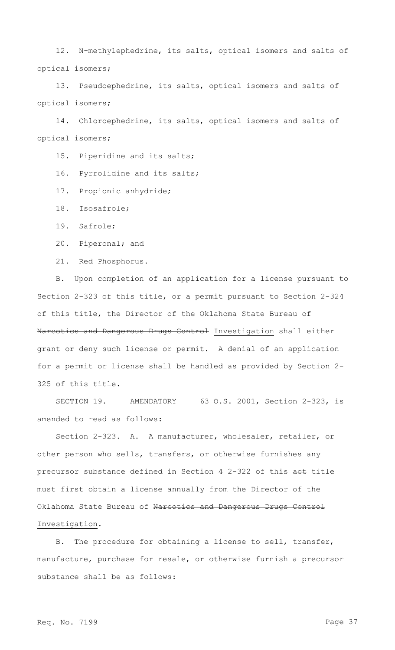12. N-methylephedrine, its salts, optical isomers and salts of optical isomers;

13. Pseudoephedrine, its salts, optical isomers and salts of optical isomers;

14. Chloroephedrine, its salts, optical isomers and salts of optical isomers;

15. Piperidine and its salts;

16. Pyrrolidine and its salts;

17. Propionic anhydride;

18. Isosafrole;

19. Safrole;

20. Piperonal; and

21. Red Phosphorus.

B. Upon completion of an application for a license pursuant to Section 2-323 of this title, or a permit pursuant to Section 2-324 of this title, the Director of the Oklahoma State Bureau of Narcotics and Dangerous Drugs Control Investigation shall either grant or deny such license or permit. A denial of an application for a permit or license shall be handled as provided by Section 2- 325 of this title.

SECTION 19. AMENDATORY 63 O.S. 2001, Section 2-323, is amended to read as follows:

Section 2-323. A. A manufacturer, wholesaler, retailer, or other person who sells, transfers, or otherwise furnishes any precursor substance defined in Section 4 2-322 of this aet title must first obtain a license annually from the Director of the Oklahoma State Bureau of Narcotics and Dangerous Drugs Control Investigation.

B. The procedure for obtaining a license to sell, transfer, manufacture, purchase for resale, or otherwise furnish a precursor substance shall be as follows: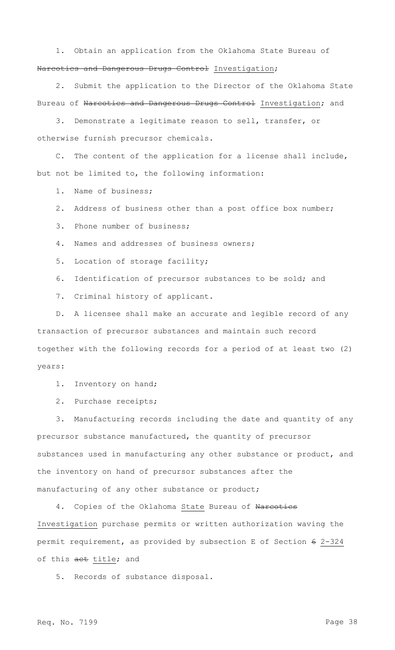1. Obtain an application from the Oklahoma State Bureau of Narcotics and Dangerous Drugs Control Investigation;

2. Submit the application to the Director of the Oklahoma State Bureau of Narcotics and Dangerous Drugs Control Investigation; and

3. Demonstrate a legitimate reason to sell, transfer, or otherwise furnish precursor chemicals.

The content of the application for a license shall include, but not be limited to, the following information:

1. Name of business;

2. Address of business other than a post office box number;

3. Phone number of business;

4. Names and addresses of business owners;

5. Location of storage facility;

6. Identification of precursor substances to be sold; and

7. Criminal history of applicant.

D. A licensee shall make an accurate and legible record of any transaction of precursor substances and maintain such record together with the following records for a period of at least two (2) years:

1. Inventory on hand;

2. Purchase receipts;

3. Manufacturing records including the date and quantity of any precursor substance manufactured, the quantity of precursor substances used in manufacturing any other substance or product, and the inventory on hand of precursor substances after the manufacturing of any other substance or product;

4. Copies of the Oklahoma State Bureau of Narcotics Investigation purchase permits or written authorization waving the permit requirement, as provided by subsection E of Section 6 2-324 of this aet title; and

5. Records of substance disposal.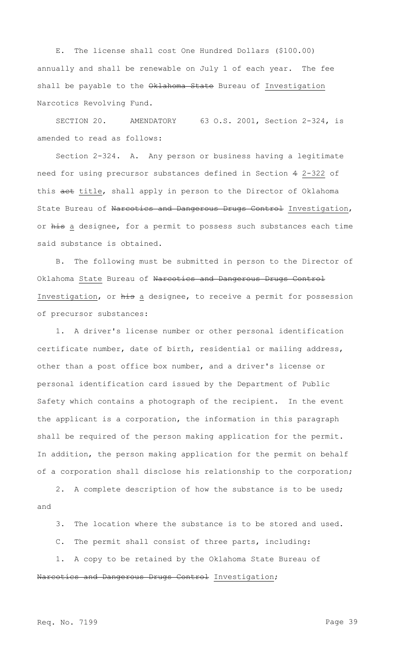E. The license shall cost One Hundred Dollars (\$100.00) annually and shall be renewable on July 1 of each year. The fee shall be payable to the Oklahoma State Bureau of Investigation Narcotics Revolving Fund.

SECTION 20. AMENDATORY 63 O.S. 2001, Section 2-324, is amended to read as follows:

Section 2-324. A. Any person or business having a legitimate need for using precursor substances defined in Section 4 2-322 of this act title, shall apply in person to the Director of Oklahoma State Bureau of Narcotics and Dangerous Drugs Control Investigation, or his a designee, for a permit to possess such substances each time said substance is obtained.

B. The following must be submitted in person to the Director of Oklahoma State Bureau of Narcotics and Dangerous Drugs Control Investigation, or his a designee, to receive a permit for possession of precursor substances:

1. A driver's license number or other personal identification certificate number, date of birth, residential or mailing address, other than a post office box number, and a driver's license or personal identification card issued by the Department of Public Safety which contains a photograph of the recipient. In the event the applicant is a corporation, the information in this paragraph shall be required of the person making application for the permit. In addition, the person making application for the permit on behalf of a corporation shall disclose his relationship to the corporation;

2. A complete description of how the substance is to be used; and

3. The location where the substance is to be stored and used.

C. The permit shall consist of three parts, including:

1. A copy to be retained by the Oklahoma State Bureau of Narcotics and Dangerous Drugs Control Investigation;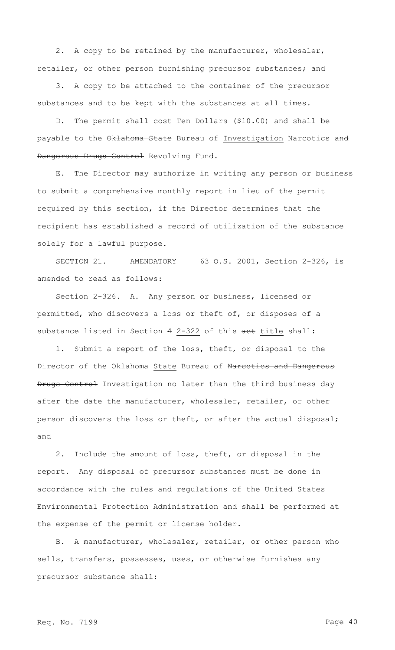2. A copy to be retained by the manufacturer, wholesaler, retailer, or other person furnishing precursor substances; and

3. A copy to be attached to the container of the precursor substances and to be kept with the substances at all times.

D. The permit shall cost Ten Dollars (\$10.00) and shall be payable to the Oklahoma State Bureau of Investigation Narcotics and Dangerous Drugs Control Revolving Fund.

E. The Director may authorize in writing any person or business to submit a comprehensive monthly report in lieu of the permit required by this section, if the Director determines that the recipient has established a record of utilization of the substance solely for a lawful purpose.

SECTION 21. AMENDATORY 63 O.S. 2001, Section 2-326, is amended to read as follows:

Section 2-326. A. Any person or business, licensed or permitted, who discovers a loss or theft of, or disposes of a substance listed in Section 4 2-322 of this aet title shall:

1. Submit a report of the loss, theft, or disposal to the Director of the Oklahoma State Bureau of Narcotics and Dangerous Drugs Control Investigation no later than the third business day after the date the manufacturer, wholesaler, retailer, or other person discovers the loss or theft, or after the actual disposal; and

2. Include the amount of loss, theft, or disposal in the report. Any disposal of precursor substances must be done in accordance with the rules and regulations of the United States Environmental Protection Administration and shall be performed at the expense of the permit or license holder.

B. A manufacturer, wholesaler, retailer, or other person who sells, transfers, possesses, uses, or otherwise furnishes any precursor substance shall: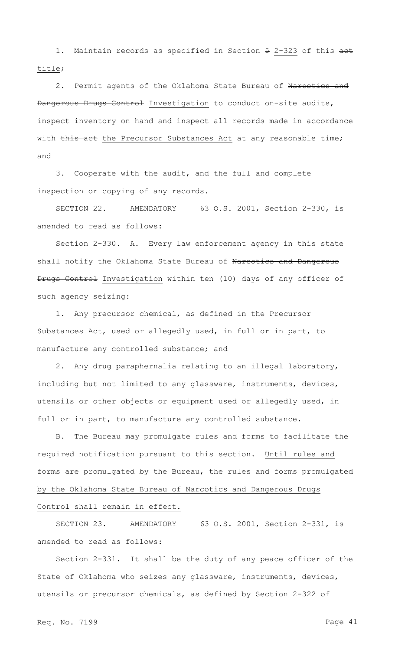1. Maintain records as specified in Section 5 2-323 of this aet title;

2. Permit agents of the Oklahoma State Bureau of Narcotics and Dangerous Drugs Control Investigation to conduct on-site audits, inspect inventory on hand and inspect all records made in accordance with this act the Precursor Substances Act at any reasonable time; and

3. Cooperate with the audit, and the full and complete inspection or copying of any records.

SECTION 22. AMENDATORY 63 O.S. 2001, Section 2-330, is amended to read as follows:

Section 2-330. A. Every law enforcement agency in this state shall notify the Oklahoma State Bureau of Narcotics and Dangerous Drugs Control Investigation within ten (10) days of any officer of such agency seizing:

1. Any precursor chemical, as defined in the Precursor Substances Act, used or allegedly used, in full or in part, to manufacture any controlled substance; and

2. Any drug paraphernalia relating to an illegal laboratory, including but not limited to any glassware, instruments, devices, utensils or other objects or equipment used or allegedly used, in full or in part, to manufacture any controlled substance.

B. The Bureau may promulgate rules and forms to facilitate the required notification pursuant to this section. Until rules and forms are promulgated by the Bureau, the rules and forms promulgated by the Oklahoma State Bureau of Narcotics and Dangerous Drugs Control shall remain in effect.

SECTION 23. AMENDATORY 63 O.S. 2001, Section 2-331, is amended to read as follows:

Section 2-331. It shall be the duty of any peace officer of the State of Oklahoma who seizes any glassware, instruments, devices, utensils or precursor chemicals, as defined by Section 2-322 of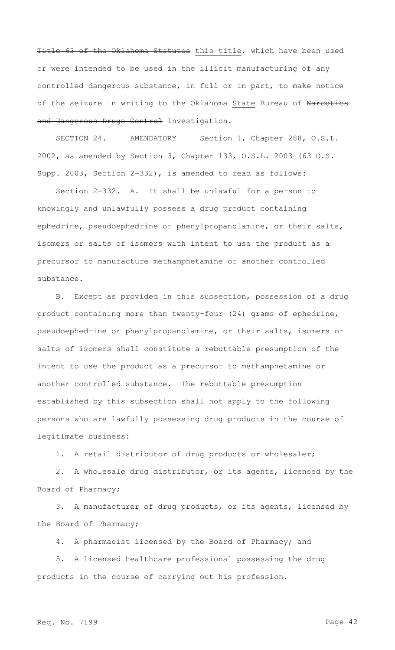Title 63 of the Oklahoma Statutes this title, which have been used or were intended to be used in the illicit manufacturing of any controlled dangerous substance, in full or in part, to make notice of the seizure in writing to the Oklahoma State Bureau of Narcotics and Dangerous Drugs Control Investigation.

SECTION 24. AMENDATORY Section 1, Chapter 288, O.S.L. 2002, as amended by Section 3, Chapter 133, O.S.L. 2003 (63 O.S. Supp. 2003, Section 2-332), is amended to read as follows:

Section 2-332. A. It shall be unlawful for a person to knowingly and unlawfully possess a drug product containing ephedrine, pseudoephedrine or phenylpropanolamine, or their salts, isomers or salts of isomers with intent to use the product as a precursor to manufacture methamphetamine or another controlled substance.

B. Except as provided in this subsection, possession of a drug product containing more than twenty-four (24) grams of ephedrine, pseudoephedrine or phenylpropanolamine, or their salts, isomers or salts of isomers shall constitute a rebuttable presumption of the intent to use the product as a precursor to methamphetamine or another controlled substance. The rebuttable presumption established by this subsection shall not apply to the following persons who are lawfully possessing drug products in the course of legitimate business:

1. A retail distributor of drug products or wholesaler;

2. A wholesale drug distributor, or its agents, licensed by the Board of Pharmacy;

3. A manufacturer of drug products, or its agents, licensed by the Board of Pharmacy;

4. A pharmacist licensed by the Board of Pharmacy; and

5. A licensed healthcare professional possessing the drug products in the course of carrying out his profession.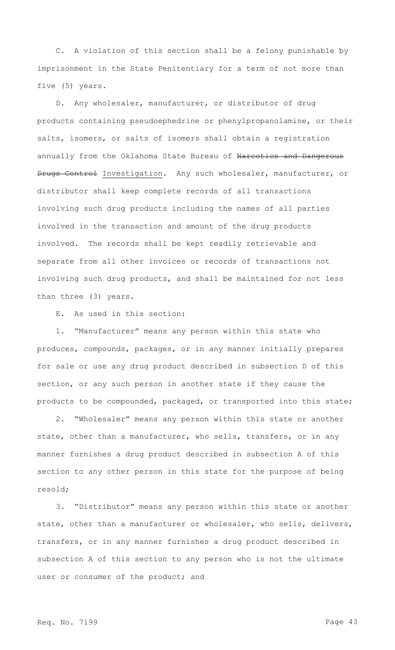C. A violation of this section shall be a felony punishable by imprisonment in the State Penitentiary for a term of not more than five (5) years.

D. Any wholesaler, manufacturer, or distributor of drug products containing pseudoephedrine or phenylpropanolamine, or their salts, isomers, or salts of isomers shall obtain a registration annually from the Oklahoma State Bureau of Narcotics and Dangerous Drugs Control Investigation. Any such wholesaler, manufacturer, or distributor shall keep complete records of all transactions involving such drug products including the names of all parties involved in the transaction and amount of the drug products involved. The records shall be kept readily retrievable and separate from all other invoices or records of transactions not involving such drug products, and shall be maintained for not less than three (3) years.

E. As used in this section:

1. "Manufacturer" means any person within this state who produces, compounds, packages, or in any manner initially prepares for sale or use any drug product described in subsection D of this section, or any such person in another state if they cause the products to be compounded, packaged, or transported into this state;

2. "Wholesaler" means any person within this state or another state, other than a manufacturer, who sells, transfers, or in any manner furnishes a drug product described in subsection A of this section to any other person in this state for the purpose of being resold;

3. "Distributor" means any person within this state or another state, other than a manufacturer or wholesaler, who sells, delivers, transfers, or in any manner furnishes a drug product described in subsection A of this section to any person who is not the ultimate user or consumer of the product; and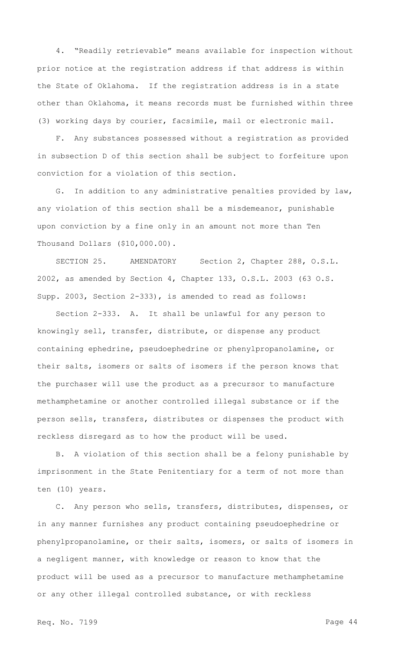4. "Readily retrievable" means available for inspection without prior notice at the registration address if that address is within the State of Oklahoma. If the registration address is in a state other than Oklahoma, it means records must be furnished within three (3) working days by courier, facsimile, mail or electronic mail.

F. Any substances possessed without a registration as provided in subsection D of this section shall be subject to forfeiture upon conviction for a violation of this section.

G. In addition to any administrative penalties provided by law, any violation of this section shall be a misdemeanor, punishable upon conviction by a fine only in an amount not more than Ten Thousand Dollars (\$10,000.00).

SECTION 25. AMENDATORY Section 2, Chapter 288, O.S.L. 2002, as amended by Section 4, Chapter 133, O.S.L. 2003 (63 O.S. Supp. 2003, Section 2-333), is amended to read as follows:

Section 2-333. A. It shall be unlawful for any person to knowingly sell, transfer, distribute, or dispense any product containing ephedrine, pseudoephedrine or phenylpropanolamine, or their salts, isomers or salts of isomers if the person knows that the purchaser will use the product as a precursor to manufacture methamphetamine or another controlled illegal substance or if the person sells, transfers, distributes or dispenses the product with reckless disregard as to how the product will be used.

B. A violation of this section shall be a felony punishable by imprisonment in the State Penitentiary for a term of not more than ten (10) years.

C. Any person who sells, transfers, distributes, dispenses, or in any manner furnishes any product containing pseudoephedrine or phenylpropanolamine, or their salts, isomers, or salts of isomers in a negligent manner, with knowledge or reason to know that the product will be used as a precursor to manufacture methamphetamine or any other illegal controlled substance, or with reckless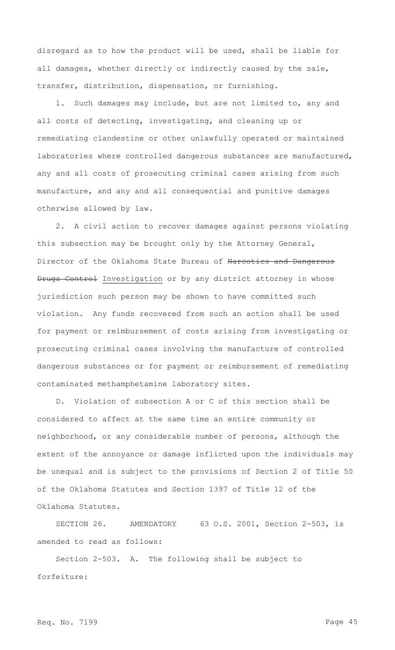disregard as to how the product will be used, shall be liable for all damages, whether directly or indirectly caused by the sale, transfer, distribution, dispensation, or furnishing.

1. Such damages may include, but are not limited to, any and all costs of detecting, investigating, and cleaning up or remediating clandestine or other unlawfully operated or maintained laboratories where controlled dangerous substances are manufactured, any and all costs of prosecuting criminal cases arising from such manufacture, and any and all consequential and punitive damages otherwise allowed by law.

2. A civil action to recover damages against persons violating this subsection may be brought only by the Attorney General, Director of the Oklahoma State Bureau of Narcotics and Dangerous Drugs Control Investigation or by any district attorney in whose jurisdiction such person may be shown to have committed such violation. Any funds recovered from such an action shall be used for payment or reimbursement of costs arising from investigating or prosecuting criminal cases involving the manufacture of controlled dangerous substances or for payment or reimbursement of remediating contaminated methamphetamine laboratory sites.

D. Violation of subsection A or C of this section shall be considered to affect at the same time an entire community or neighborhood, or any considerable number of persons, although the extent of the annoyance or damage inflicted upon the individuals may be unequal and is subject to the provisions of Section 2 of Title 50 of the Oklahoma Statutes and Section 1397 of Title 12 of the Oklahoma Statutes.

SECTION 26. AMENDATORY 63 O.S. 2001, Section 2-503, is amended to read as follows:

Section 2-503. A. The following shall be subject to forfeiture: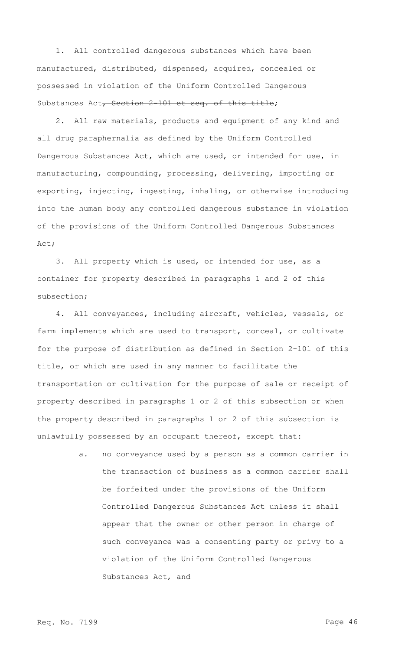1. All controlled dangerous substances which have been manufactured, distributed, dispensed, acquired, concealed or possessed in violation of the Uniform Controlled Dangerous Substances Act, Section 2-101 et seq. of this title;

2. All raw materials, products and equipment of any kind and all drug paraphernalia as defined by the Uniform Controlled Dangerous Substances Act, which are used, or intended for use, in manufacturing, compounding, processing, delivering, importing or exporting, injecting, ingesting, inhaling, or otherwise introducing into the human body any controlled dangerous substance in violation of the provisions of the Uniform Controlled Dangerous Substances Act;

3. All property which is used, or intended for use, as a container for property described in paragraphs 1 and 2 of this subsection;

4. All conveyances, including aircraft, vehicles, vessels, or farm implements which are used to transport, conceal, or cultivate for the purpose of distribution as defined in Section 2-101 of this title, or which are used in any manner to facilitate the transportation or cultivation for the purpose of sale or receipt of property described in paragraphs 1 or 2 of this subsection or when the property described in paragraphs 1 or 2 of this subsection is unlawfully possessed by an occupant thereof, except that:

> a. no conveyance used by a person as a common carrier in the transaction of business as a common carrier shall be forfeited under the provisions of the Uniform Controlled Dangerous Substances Act unless it shall appear that the owner or other person in charge of such conveyance was a consenting party or privy to a violation of the Uniform Controlled Dangerous Substances Act, and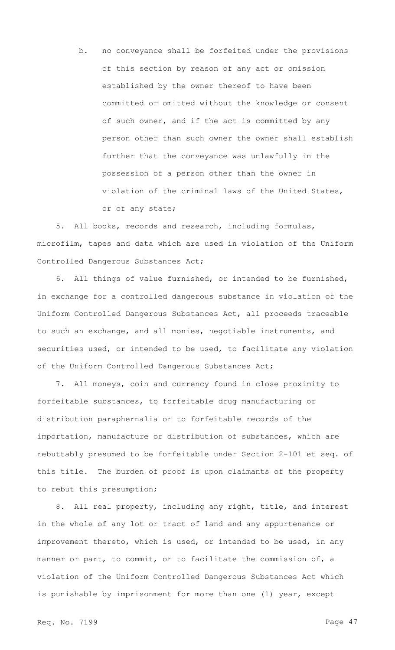b. no conveyance shall be forfeited under the provisions of this section by reason of any act or omission established by the owner thereof to have been committed or omitted without the knowledge or consent of such owner, and if the act is committed by any person other than such owner the owner shall establish further that the conveyance was unlawfully in the possession of a person other than the owner in violation of the criminal laws of the United States, or of any state;

5. All books, records and research, including formulas, microfilm, tapes and data which are used in violation of the Uniform Controlled Dangerous Substances Act;

6. All things of value furnished, or intended to be furnished, in exchange for a controlled dangerous substance in violation of the Uniform Controlled Dangerous Substances Act, all proceeds traceable to such an exchange, and all monies, negotiable instruments, and securities used, or intended to be used, to facilitate any violation of the Uniform Controlled Dangerous Substances Act;

7. All moneys, coin and currency found in close proximity to forfeitable substances, to forfeitable drug manufacturing or distribution paraphernalia or to forfeitable records of the importation, manufacture or distribution of substances, which are rebuttably presumed to be forfeitable under Section 2-101 et seq. of this title. The burden of proof is upon claimants of the property to rebut this presumption;

8. All real property, including any right, title, and interest in the whole of any lot or tract of land and any appurtenance or improvement thereto, which is used, or intended to be used, in any manner or part, to commit, or to facilitate the commission of, a violation of the Uniform Controlled Dangerous Substances Act which is punishable by imprisonment for more than one (1) year, except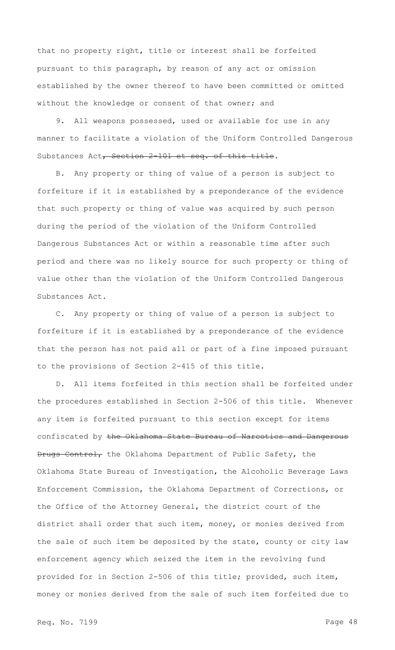that no property right, title or interest shall be forfeited pursuant to this paragraph, by reason of any act or omission established by the owner thereof to have been committed or omitted without the knowledge or consent of that owner; and

9. All weapons possessed, used or available for use in any manner to facilitate a violation of the Uniform Controlled Dangerous Substances Act, Section 2-101 et seq. of this title.

B. Any property or thing of value of a person is subject to forfeiture if it is established by a preponderance of the evidence that such property or thing of value was acquired by such person during the period of the violation of the Uniform Controlled Dangerous Substances Act or within a reasonable time after such period and there was no likely source for such property or thing of value other than the violation of the Uniform Controlled Dangerous Substances Act.

C. Any property or thing of value of a person is subject to forfeiture if it is established by a preponderance of the evidence that the person has not paid all or part of a fine imposed pursuant to the provisions of Section 2-415 of this title.

D. All items forfeited in this section shall be forfeited under the procedures established in Section 2-506 of this title. Whenever any item is forfeited pursuant to this section except for items confiscated by the Oklahoma State Bureau of Narcotics and Dangerous Drugs Control, the Oklahoma Department of Public Safety, the Oklahoma State Bureau of Investigation, the Alcoholic Beverage Laws Enforcement Commission, the Oklahoma Department of Corrections, or the Office of the Attorney General, the district court of the district shall order that such item, money, or monies derived from the sale of such item be deposited by the state, county or city law enforcement agency which seized the item in the revolving fund provided for in Section 2-506 of this title; provided, such item, money or monies derived from the sale of such item forfeited due to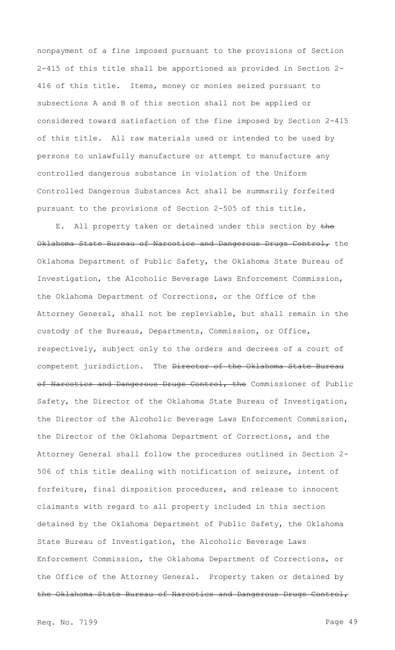nonpayment of a fine imposed pursuant to the provisions of Section 2-415 of this title shall be apportioned as provided in Section 2- 416 of this title. Items, money or monies seized pursuant to subsections A and B of this section shall not be applied or considered toward satisfaction of the fine imposed by Section 2-415 of this title. All raw materials used or intended to be used by persons to unlawfully manufacture or attempt to manufacture any controlled dangerous substance in violation of the Uniform Controlled Dangerous Substances Act shall be summarily forfeited pursuant to the provisions of Section 2-505 of this title.

E. All property taken or detained under this section by the Oklahoma State Bureau of Narcotics and Dangerous Drugs Control, the Oklahoma Department of Public Safety, the Oklahoma State Bureau of Investigation, the Alcoholic Beverage Laws Enforcement Commission, the Oklahoma Department of Corrections, or the Office of the Attorney General, shall not be repleviable, but shall remain in the custody of the Bureaus, Departments, Commission, or Office, respectively, subject only to the orders and decrees of a court of competent jurisdiction. The Director of the Oklahoma State Bureau of Narcotics and Dangerous Drugs Control, the Commissioner of Public Safety, the Director of the Oklahoma State Bureau of Investigation, the Director of the Alcoholic Beverage Laws Enforcement Commission, the Director of the Oklahoma Department of Corrections, and the Attorney General shall follow the procedures outlined in Section 2- 506 of this title dealing with notification of seizure, intent of forfeiture, final disposition procedures, and release to innocent claimants with regard to all property included in this section detained by the Oklahoma Department of Public Safety, the Oklahoma State Bureau of Investigation, the Alcoholic Beverage Laws Enforcement Commission, the Oklahoma Department of Corrections, or the Office of the Attorney General. Property taken or detained by the Oklahoma State Bureau of Narcotics and Dangerous Drugs Control,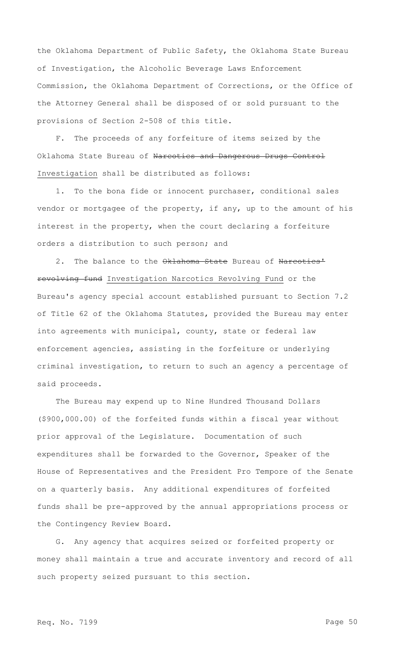the Oklahoma Department of Public Safety, the Oklahoma State Bureau of Investigation, the Alcoholic Beverage Laws Enforcement Commission, the Oklahoma Department of Corrections, or the Office of the Attorney General shall be disposed of or sold pursuant to the provisions of Section 2-508 of this title.

F. The proceeds of any forfeiture of items seized by the Oklahoma State Bureau of Narcotics and Dangerous Drugs Control Investigation shall be distributed as follows:

1. To the bona fide or innocent purchaser, conditional sales vendor or mortgagee of the property, if any, up to the amount of his interest in the property, when the court declaring a forfeiture orders a distribution to such person; and

2. The balance to the Oklahoma State Bureau of Narcotics' revolving fund Investigation Narcotics Revolving Fund or the Bureau's agency special account established pursuant to Section 7.2 of Title 62 of the Oklahoma Statutes, provided the Bureau may enter into agreements with municipal, county, state or federal law enforcement agencies, assisting in the forfeiture or underlying criminal investigation, to return to such an agency a percentage of said proceeds.

The Bureau may expend up to Nine Hundred Thousand Dollars (\$900,000.00) of the forfeited funds within a fiscal year without prior approval of the Legislature. Documentation of such expenditures shall be forwarded to the Governor, Speaker of the House of Representatives and the President Pro Tempore of the Senate on a quarterly basis. Any additional expenditures of forfeited funds shall be pre-approved by the annual appropriations process or the Contingency Review Board.

G. Any agency that acquires seized or forfeited property or money shall maintain a true and accurate inventory and record of all such property seized pursuant to this section.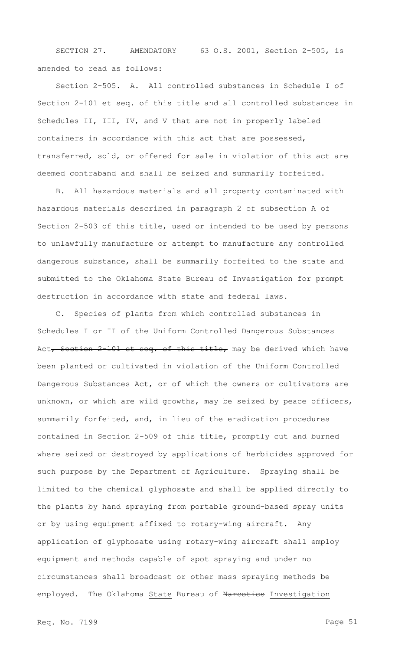SECTION 27. AMENDATORY 63 O.S. 2001, Section 2-505, is amended to read as follows:

Section 2-505. A. All controlled substances in Schedule I of Section 2-101 et seq. of this title and all controlled substances in Schedules II, III, IV, and V that are not in properly labeled containers in accordance with this act that are possessed, transferred, sold, or offered for sale in violation of this act are deemed contraband and shall be seized and summarily forfeited.

B. All hazardous materials and all property contaminated with hazardous materials described in paragraph 2 of subsection A of Section 2-503 of this title, used or intended to be used by persons to unlawfully manufacture or attempt to manufacture any controlled dangerous substance, shall be summarily forfeited to the state and submitted to the Oklahoma State Bureau of Investigation for prompt destruction in accordance with state and federal laws.

C. Species of plants from which controlled substances in Schedules I or II of the Uniform Controlled Dangerous Substances Act, Section 2-101 et seq. of this title, may be derived which have been planted or cultivated in violation of the Uniform Controlled Dangerous Substances Act, or of which the owners or cultivators are unknown, or which are wild growths, may be seized by peace officers, summarily forfeited, and, in lieu of the eradication procedures contained in Section 2-509 of this title, promptly cut and burned where seized or destroyed by applications of herbicides approved for such purpose by the Department of Agriculture. Spraying shall be limited to the chemical glyphosate and shall be applied directly to the plants by hand spraying from portable ground-based spray units or by using equipment affixed to rotary-wing aircraft. Any application of glyphosate using rotary-wing aircraft shall employ equipment and methods capable of spot spraying and under no circumstances shall broadcast or other mass spraying methods be employed. The Oklahoma State Bureau of Narcotics Investigation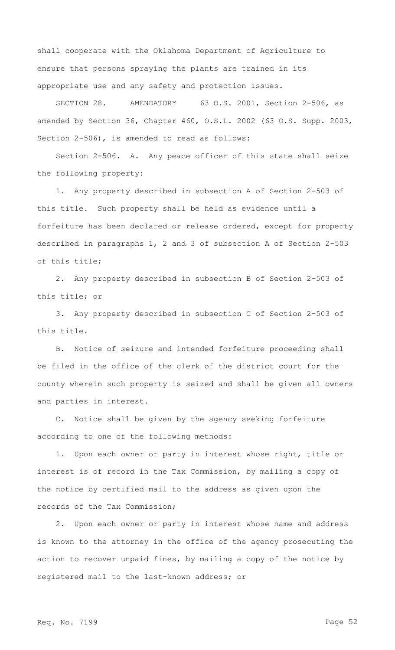shall cooperate with the Oklahoma Department of Agriculture to ensure that persons spraying the plants are trained in its appropriate use and any safety and protection issues.

SECTION 28. AMENDATORY 63 O.S. 2001, Section 2-506, as amended by Section 36, Chapter 460, O.S.L. 2002 (63 O.S. Supp. 2003, Section 2-506), is amended to read as follows:

Section 2-506. A. Any peace officer of this state shall seize the following property:

1. Any property described in subsection A of Section 2-503 of this title. Such property shall be held as evidence until a forfeiture has been declared or release ordered, except for property described in paragraphs 1, 2 and 3 of subsection A of Section 2-503 of this title;

2. Any property described in subsection B of Section 2-503 of this title; or

3. Any property described in subsection C of Section 2-503 of this title.

B. Notice of seizure and intended forfeiture proceeding shall be filed in the office of the clerk of the district court for the county wherein such property is seized and shall be given all owners and parties in interest.

C. Notice shall be given by the agency seeking forfeiture according to one of the following methods:

1. Upon each owner or party in interest whose right, title or interest is of record in the Tax Commission, by mailing a copy of the notice by certified mail to the address as given upon the records of the Tax Commission;

2. Upon each owner or party in interest whose name and address is known to the attorney in the office of the agency prosecuting the action to recover unpaid fines, by mailing a copy of the notice by registered mail to the last-known address; or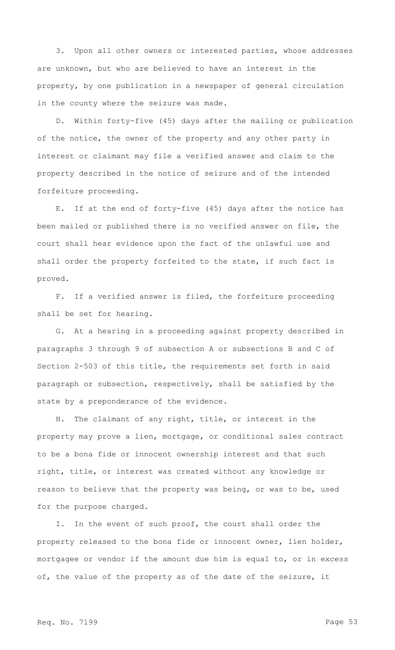3. Upon all other owners or interested parties, whose addresses are unknown, but who are believed to have an interest in the property, by one publication in a newspaper of general circulation in the county where the seizure was made.

D. Within forty-five (45) days after the mailing or publication of the notice, the owner of the property and any other party in interest or claimant may file a verified answer and claim to the property described in the notice of seizure and of the intended forfeiture proceeding.

E. If at the end of forty-five (45) days after the notice has been mailed or published there is no verified answer on file, the court shall hear evidence upon the fact of the unlawful use and shall order the property forfeited to the state, if such fact is proved.

F. If a verified answer is filed, the forfeiture proceeding shall be set for hearing.

G. At a hearing in a proceeding against property described in paragraphs 3 through 9 of subsection A or subsections B and C of Section 2-503 of this title, the requirements set forth in said paragraph or subsection, respectively, shall be satisfied by the state by a preponderance of the evidence.

H. The claimant of any right, title, or interest in the property may prove a lien, mortgage, or conditional sales contract to be a bona fide or innocent ownership interest and that such right, title, or interest was created without any knowledge or reason to believe that the property was being, or was to be, used for the purpose charged.

I. In the event of such proof, the court shall order the property released to the bona fide or innocent owner, lien holder, mortgagee or vendor if the amount due him is equal to, or in excess of, the value of the property as of the date of the seizure, it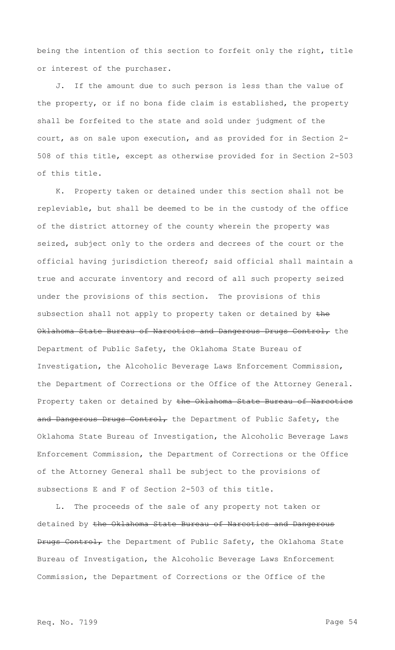being the intention of this section to forfeit only the right, title or interest of the purchaser.

J. If the amount due to such person is less than the value of the property, or if no bona fide claim is established, the property shall be forfeited to the state and sold under judgment of the court, as on sale upon execution, and as provided for in Section 2- 508 of this title, except as otherwise provided for in Section 2-503 of this title.

K. Property taken or detained under this section shall not be repleviable, but shall be deemed to be in the custody of the office of the district attorney of the county wherein the property was seized, subject only to the orders and decrees of the court or the official having jurisdiction thereof; said official shall maintain a true and accurate inventory and record of all such property seized under the provisions of this section. The provisions of this subsection shall not apply to property taken or detained by the Oklahoma State Bureau of Narcotics and Dangerous Drugs Control, the Department of Public Safety, the Oklahoma State Bureau of Investigation, the Alcoholic Beverage Laws Enforcement Commission, the Department of Corrections or the Office of the Attorney General. Property taken or detained by the Oklahoma State Bureau of Narcotics and Dangerous Drugs Control, the Department of Public Safety, the Oklahoma State Bureau of Investigation, the Alcoholic Beverage Laws Enforcement Commission, the Department of Corrections or the Office of the Attorney General shall be subject to the provisions of subsections E and F of Section 2-503 of this title.

L. The proceeds of the sale of any property not taken or detained by the Oklahoma State Bureau of Narcotics and Dangerous Drugs Control, the Department of Public Safety, the Oklahoma State Bureau of Investigation, the Alcoholic Beverage Laws Enforcement Commission, the Department of Corrections or the Office of the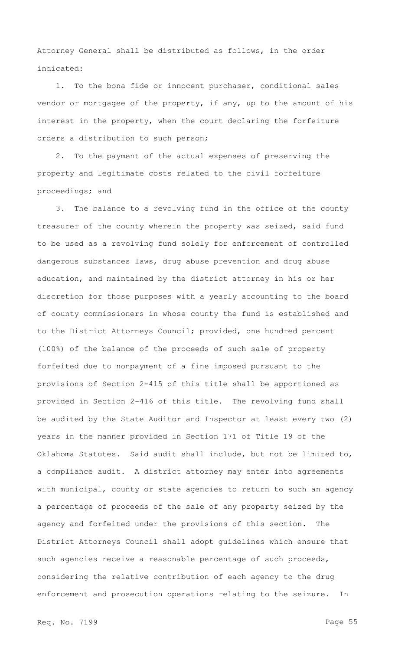Attorney General shall be distributed as follows, in the order indicated:

1. To the bona fide or innocent purchaser, conditional sales vendor or mortgagee of the property, if any, up to the amount of his interest in the property, when the court declaring the forfeiture orders a distribution to such person;

2. To the payment of the actual expenses of preserving the property and legitimate costs related to the civil forfeiture proceedings; and

3. The balance to a revolving fund in the office of the county treasurer of the county wherein the property was seized, said fund to be used as a revolving fund solely for enforcement of controlled dangerous substances laws, drug abuse prevention and drug abuse education, and maintained by the district attorney in his or her discretion for those purposes with a yearly accounting to the board of county commissioners in whose county the fund is established and to the District Attorneys Council; provided, one hundred percent (100%) of the balance of the proceeds of such sale of property forfeited due to nonpayment of a fine imposed pursuant to the provisions of Section 2-415 of this title shall be apportioned as provided in Section 2-416 of this title. The revolving fund shall be audited by the State Auditor and Inspector at least every two (2) years in the manner provided in Section 171 of Title 19 of the Oklahoma Statutes. Said audit shall include, but not be limited to, a compliance audit. A district attorney may enter into agreements with municipal, county or state agencies to return to such an agency a percentage of proceeds of the sale of any property seized by the agency and forfeited under the provisions of this section. The District Attorneys Council shall adopt guidelines which ensure that such agencies receive a reasonable percentage of such proceeds, considering the relative contribution of each agency to the drug enforcement and prosecution operations relating to the seizure. In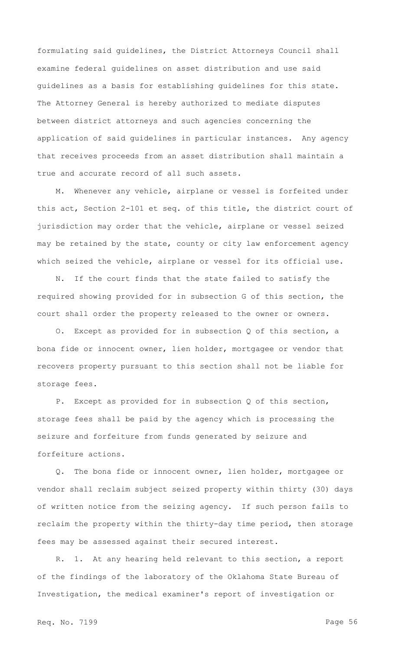formulating said guidelines, the District Attorneys Council shall examine federal guidelines on asset distribution and use said guidelines as a basis for establishing guidelines for this state. The Attorney General is hereby authorized to mediate disputes between district attorneys and such agencies concerning the application of said guidelines in particular instances. Any agency that receives proceeds from an asset distribution shall maintain a true and accurate record of all such assets.

M. Whenever any vehicle, airplane or vessel is forfeited under this act, Section 2-101 et seq. of this title, the district court of jurisdiction may order that the vehicle, airplane or vessel seized may be retained by the state, county or city law enforcement agency which seized the vehicle, airplane or vessel for its official use.

N. If the court finds that the state failed to satisfy the required showing provided for in subsection G of this section, the court shall order the property released to the owner or owners.

O. Except as provided for in subsection Q of this section, a bona fide or innocent owner, lien holder, mortgagee or vendor that recovers property pursuant to this section shall not be liable for storage fees.

P. Except as provided for in subsection Q of this section, storage fees shall be paid by the agency which is processing the seizure and forfeiture from funds generated by seizure and forfeiture actions.

Q. The bona fide or innocent owner, lien holder, mortgagee or vendor shall reclaim subject seized property within thirty (30) days of written notice from the seizing agency. If such person fails to reclaim the property within the thirty-day time period, then storage fees may be assessed against their secured interest.

R. 1. At any hearing held relevant to this section, a report of the findings of the laboratory of the Oklahoma State Bureau of Investigation, the medical examiner's report of investigation or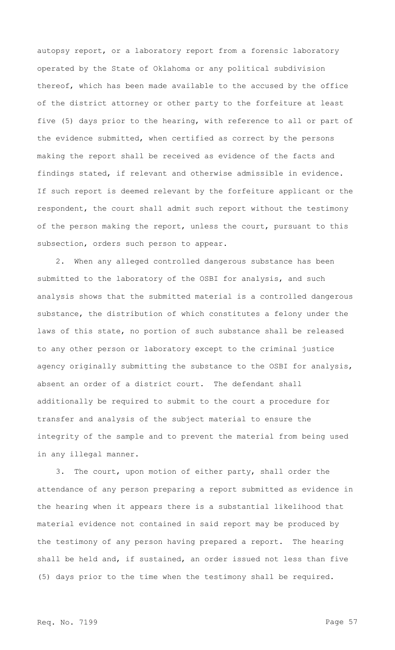autopsy report, or a laboratory report from a forensic laboratory operated by the State of Oklahoma or any political subdivision thereof, which has been made available to the accused by the office of the district attorney or other party to the forfeiture at least five (5) days prior to the hearing, with reference to all or part of the evidence submitted, when certified as correct by the persons making the report shall be received as evidence of the facts and findings stated, if relevant and otherwise admissible in evidence. If such report is deemed relevant by the forfeiture applicant or the respondent, the court shall admit such report without the testimony of the person making the report, unless the court, pursuant to this subsection, orders such person to appear.

2. When any alleged controlled dangerous substance has been submitted to the laboratory of the OSBI for analysis, and such analysis shows that the submitted material is a controlled dangerous substance, the distribution of which constitutes a felony under the laws of this state, no portion of such substance shall be released to any other person or laboratory except to the criminal justice agency originally submitting the substance to the OSBI for analysis, absent an order of a district court. The defendant shall additionally be required to submit to the court a procedure for transfer and analysis of the subject material to ensure the integrity of the sample and to prevent the material from being used in any illegal manner.

3. The court, upon motion of either party, shall order the attendance of any person preparing a report submitted as evidence in the hearing when it appears there is a substantial likelihood that material evidence not contained in said report may be produced by the testimony of any person having prepared a report. The hearing shall be held and, if sustained, an order issued not less than five (5) days prior to the time when the testimony shall be required.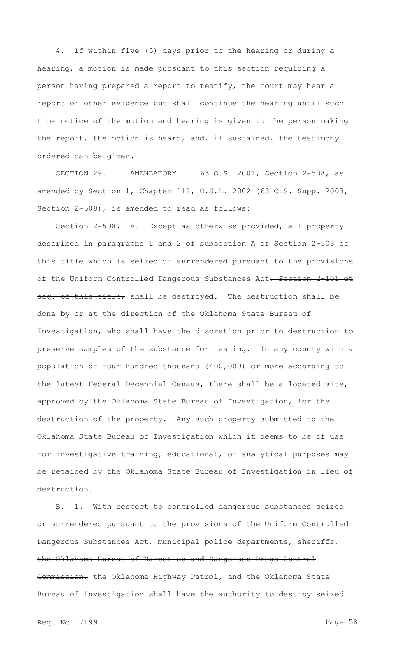4. If within five (5) days prior to the hearing or during a hearing, a motion is made pursuant to this section requiring a person having prepared a report to testify, the court may hear a report or other evidence but shall continue the hearing until such time notice of the motion and hearing is given to the person making the report, the motion is heard, and, if sustained, the testimony ordered can be given.

SECTION 29. AMENDATORY 63 O.S. 2001, Section 2-508, as amended by Section 1, Chapter 111, O.S.L. 2002 (63 O.S. Supp. 2003, Section 2-508), is amended to read as follows:

Section 2-508. A. Except as otherwise provided, all property described in paragraphs 1 and 2 of subsection A of Section 2-503 of this title which is seized or surrendered pursuant to the provisions of the Uniform Controlled Dangerous Substances Act, Section 2-101 et seq. of this title, shall be destroyed. The destruction shall be done by or at the direction of the Oklahoma State Bureau of Investigation, who shall have the discretion prior to destruction to preserve samples of the substance for testing. In any county with a population of four hundred thousand (400,000) or more according to the latest Federal Decennial Census, there shall be a located site, approved by the Oklahoma State Bureau of Investigation, for the destruction of the property. Any such property submitted to the Oklahoma State Bureau of Investigation which it deems to be of use for investigative training, educational, or analytical purposes may be retained by the Oklahoma State Bureau of Investigation in lieu of destruction.

B. 1. With respect to controlled dangerous substances seized or surrendered pursuant to the provisions of the Uniform Controlled Dangerous Substances Act, municipal police departments, sheriffs, the Oklahoma Bureau of Narcotics and Dangerous Drugs Control Commission, the Oklahoma Highway Patrol, and the Oklahoma State Bureau of Investigation shall have the authority to destroy seized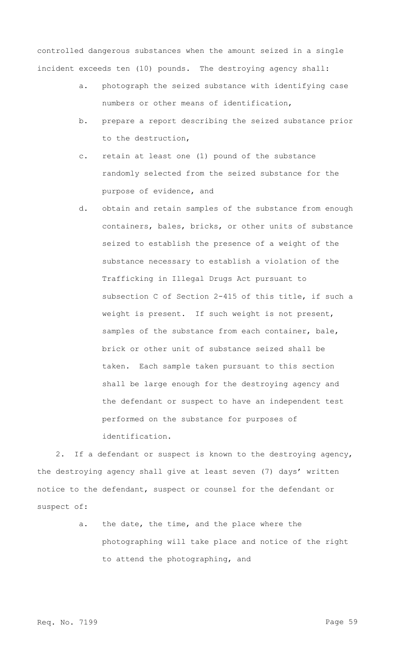controlled dangerous substances when the amount seized in a single incident exceeds ten (10) pounds. The destroying agency shall:

- a. photograph the seized substance with identifying case numbers or other means of identification,
- b. prepare a report describing the seized substance prior to the destruction,
- c. retain at least one (1) pound of the substance randomly selected from the seized substance for the purpose of evidence, and
- d. obtain and retain samples of the substance from enough containers, bales, bricks, or other units of substance seized to establish the presence of a weight of the substance necessary to establish a violation of the Trafficking in Illegal Drugs Act pursuant to subsection C of Section 2-415 of this title, if such a weight is present. If such weight is not present, samples of the substance from each container, bale, brick or other unit of substance seized shall be taken. Each sample taken pursuant to this section shall be large enough for the destroying agency and the defendant or suspect to have an independent test performed on the substance for purposes of identification.

2. If a defendant or suspect is known to the destroying agency, the destroying agency shall give at least seven (7) days' written notice to the defendant, suspect or counsel for the defendant or suspect of:

> a. the date, the time, and the place where the photographing will take place and notice of the right to attend the photographing, and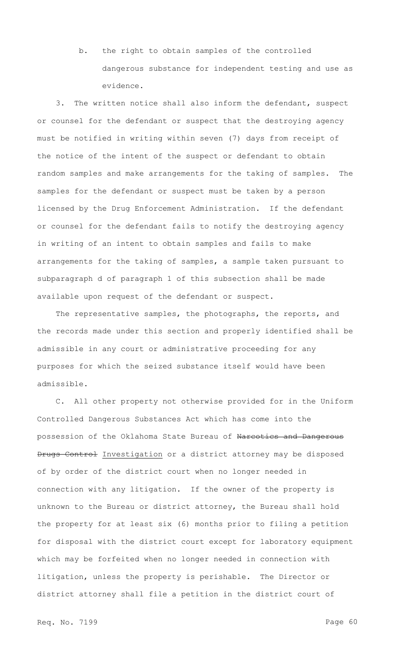b. the right to obtain samples of the controlled dangerous substance for independent testing and use as evidence.

3. The written notice shall also inform the defendant, suspect or counsel for the defendant or suspect that the destroying agency must be notified in writing within seven (7) days from receipt of the notice of the intent of the suspect or defendant to obtain random samples and make arrangements for the taking of samples. The samples for the defendant or suspect must be taken by a person licensed by the Drug Enforcement Administration. If the defendant or counsel for the defendant fails to notify the destroying agency in writing of an intent to obtain samples and fails to make arrangements for the taking of samples, a sample taken pursuant to subparagraph d of paragraph 1 of this subsection shall be made available upon request of the defendant or suspect.

The representative samples, the photographs, the reports, and the records made under this section and properly identified shall be admissible in any court or administrative proceeding for any purposes for which the seized substance itself would have been admissible.

C. All other property not otherwise provided for in the Uniform Controlled Dangerous Substances Act which has come into the possession of the Oklahoma State Bureau of Narcotics and Dangerous Drugs Control Investigation or a district attorney may be disposed of by order of the district court when no longer needed in connection with any litigation. If the owner of the property is unknown to the Bureau or district attorney, the Bureau shall hold the property for at least six (6) months prior to filing a petition for disposal with the district court except for laboratory equipment which may be forfeited when no longer needed in connection with litigation, unless the property is perishable. The Director or district attorney shall file a petition in the district court of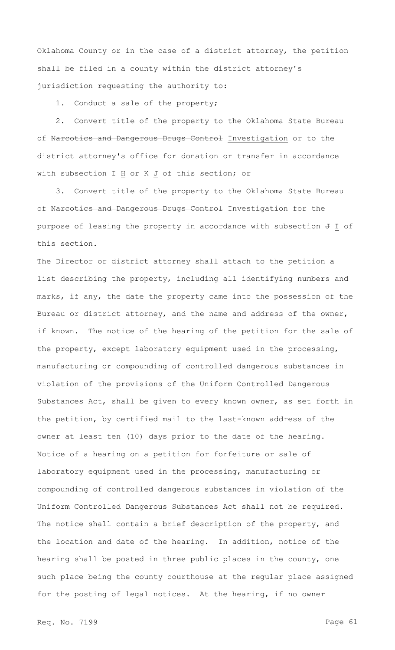Oklahoma County or in the case of a district attorney, the petition shall be filed in a county within the district attorney's jurisdiction requesting the authority to:

1. Conduct a sale of the property;

2. Convert title of the property to the Oklahoma State Bureau of Narcotics and Dangerous Drugs Control Investigation or to the district attorney's office for donation or transfer in accordance with subsection  $\pm$  H or K J of this section; or

3. Convert title of the property to the Oklahoma State Bureau of Narcotics and Dangerous Drugs Control Investigation for the purpose of leasing the property in accordance with subsection  $\overline{\theta}$  I of this section.

The Director or district attorney shall attach to the petition a list describing the property, including all identifying numbers and marks, if any, the date the property came into the possession of the Bureau or district attorney, and the name and address of the owner, if known. The notice of the hearing of the petition for the sale of the property, except laboratory equipment used in the processing, manufacturing or compounding of controlled dangerous substances in violation of the provisions of the Uniform Controlled Dangerous Substances Act, shall be given to every known owner, as set forth in the petition, by certified mail to the last-known address of the owner at least ten (10) days prior to the date of the hearing. Notice of a hearing on a petition for forfeiture or sale of laboratory equipment used in the processing, manufacturing or compounding of controlled dangerous substances in violation of the Uniform Controlled Dangerous Substances Act shall not be required. The notice shall contain a brief description of the property, and the location and date of the hearing. In addition, notice of the hearing shall be posted in three public places in the county, one such place being the county courthouse at the regular place assigned for the posting of legal notices. At the hearing, if no owner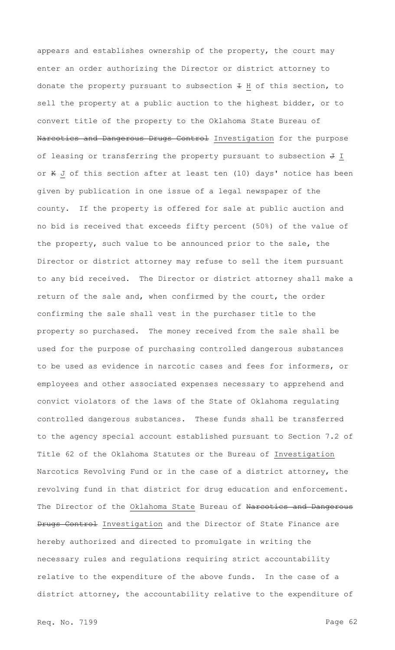appears and establishes ownership of the property, the court may enter an order authorizing the Director or district attorney to donate the property pursuant to subsection  $\pm$  H of this section, to sell the property at a public auction to the highest bidder, or to convert title of the property to the Oklahoma State Bureau of Narcotics and Dangerous Drugs Control Investigation for the purpose of leasing or transferring the property pursuant to subsection  $J$  I or K J of this section after at least ten (10) days' notice has been given by publication in one issue of a legal newspaper of the county. If the property is offered for sale at public auction and no bid is received that exceeds fifty percent (50%) of the value of the property, such value to be announced prior to the sale, the Director or district attorney may refuse to sell the item pursuant to any bid received. The Director or district attorney shall make a return of the sale and, when confirmed by the court, the order confirming the sale shall vest in the purchaser title to the property so purchased. The money received from the sale shall be used for the purpose of purchasing controlled dangerous substances to be used as evidence in narcotic cases and fees for informers, or employees and other associated expenses necessary to apprehend and convict violators of the laws of the State of Oklahoma regulating controlled dangerous substances. These funds shall be transferred to the agency special account established pursuant to Section 7.2 of Title 62 of the Oklahoma Statutes or the Bureau of Investigation Narcotics Revolving Fund or in the case of a district attorney, the revolving fund in that district for drug education and enforcement. The Director of the Oklahoma State Bureau of Narcotics and Dangerous Drugs Control Investigation and the Director of State Finance are hereby authorized and directed to promulgate in writing the necessary rules and regulations requiring strict accountability relative to the expenditure of the above funds. In the case of a district attorney, the accountability relative to the expenditure of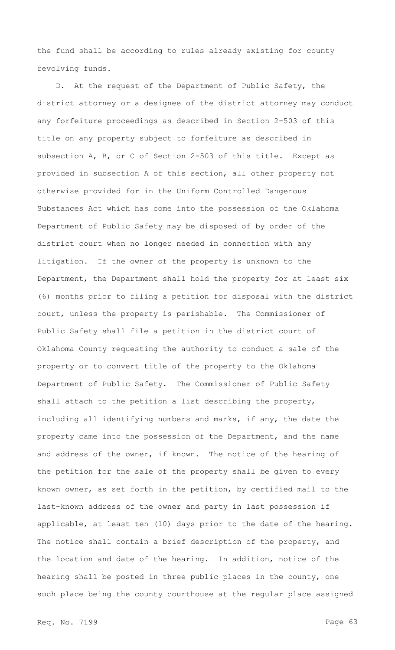the fund shall be according to rules already existing for county revolving funds.

D. At the request of the Department of Public Safety, the district attorney or a designee of the district attorney may conduct any forfeiture proceedings as described in Section 2-503 of this title on any property subject to forfeiture as described in subsection A, B, or C of Section 2-503 of this title. Except as provided in subsection A of this section, all other property not otherwise provided for in the Uniform Controlled Dangerous Substances Act which has come into the possession of the Oklahoma Department of Public Safety may be disposed of by order of the district court when no longer needed in connection with any litigation. If the owner of the property is unknown to the Department, the Department shall hold the property for at least six (6) months prior to filing a petition for disposal with the district court, unless the property is perishable. The Commissioner of Public Safety shall file a petition in the district court of Oklahoma County requesting the authority to conduct a sale of the property or to convert title of the property to the Oklahoma Department of Public Safety. The Commissioner of Public Safety shall attach to the petition a list describing the property, including all identifying numbers and marks, if any, the date the property came into the possession of the Department, and the name and address of the owner, if known. The notice of the hearing of the petition for the sale of the property shall be given to every known owner, as set forth in the petition, by certified mail to the last-known address of the owner and party in last possession if applicable, at least ten (10) days prior to the date of the hearing. The notice shall contain a brief description of the property, and the location and date of the hearing. In addition, notice of the hearing shall be posted in three public places in the county, one such place being the county courthouse at the regular place assigned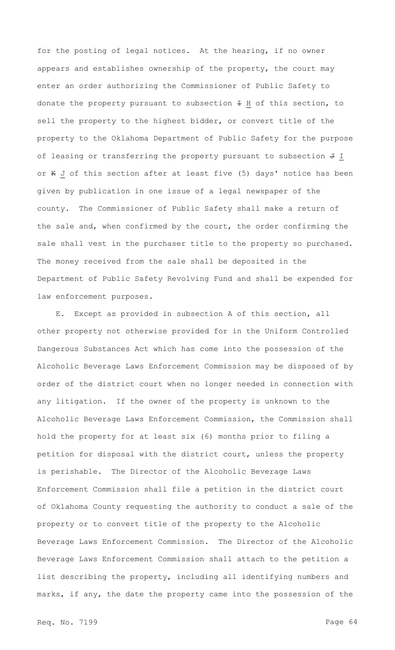for the posting of legal notices. At the hearing, if no owner appears and establishes ownership of the property, the court may enter an order authorizing the Commissioner of Public Safety to donate the property pursuant to subsection  $\pm$  H of this section, to sell the property to the highest bidder, or convert title of the property to the Oklahoma Department of Public Safety for the purpose of leasing or transferring the property pursuant to subsection  $J$  I or K J of this section after at least five (5) days' notice has been given by publication in one issue of a legal newspaper of the county. The Commissioner of Public Safety shall make a return of the sale and, when confirmed by the court, the order confirming the sale shall vest in the purchaser title to the property so purchased. The money received from the sale shall be deposited in the Department of Public Safety Revolving Fund and shall be expended for law enforcement purposes.

E. Except as provided in subsection A of this section, all other property not otherwise provided for in the Uniform Controlled Dangerous Substances Act which has come into the possession of the Alcoholic Beverage Laws Enforcement Commission may be disposed of by order of the district court when no longer needed in connection with any litigation. If the owner of the property is unknown to the Alcoholic Beverage Laws Enforcement Commission, the Commission shall hold the property for at least six (6) months prior to filing a petition for disposal with the district court, unless the property is perishable. The Director of the Alcoholic Beverage Laws Enforcement Commission shall file a petition in the district court of Oklahoma County requesting the authority to conduct a sale of the property or to convert title of the property to the Alcoholic Beverage Laws Enforcement Commission. The Director of the Alcoholic Beverage Laws Enforcement Commission shall attach to the petition a list describing the property, including all identifying numbers and marks, if any, the date the property came into the possession of the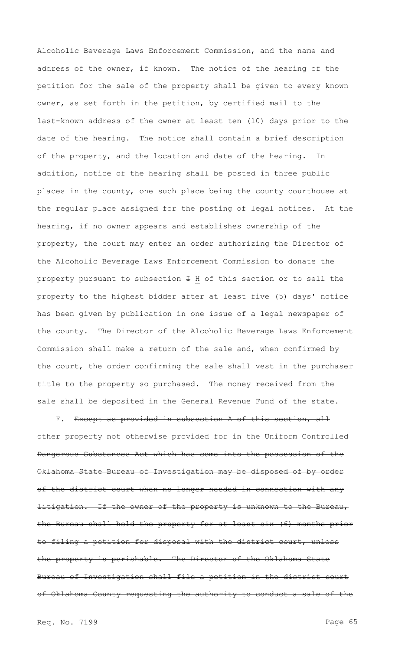Alcoholic Beverage Laws Enforcement Commission, and the name and address of the owner, if known. The notice of the hearing of the petition for the sale of the property shall be given to every known owner, as set forth in the petition, by certified mail to the last-known address of the owner at least ten (10) days prior to the date of the hearing. The notice shall contain a brief description of the property, and the location and date of the hearing. addition, notice of the hearing shall be posted in three public places in the county, one such place being the county courthouse at the regular place assigned for the posting of legal notices. At the hearing, if no owner appears and establishes ownership of the property, the court may enter an order authorizing the Director of the Alcoholic Beverage Laws Enforcement Commission to donate the property pursuant to subsection  $\pm$  H of this section or to sell the property to the highest bidder after at least five (5) days' notice has been given by publication in one issue of a legal newspaper of the county. The Director of the Alcoholic Beverage Laws Enforcement Commission shall make a return of the sale and, when confirmed by the court, the order confirming the sale shall vest in the purchaser title to the property so purchased. The money received from the sale shall be deposited in the General Revenue Fund of the state.

F. Except as provided in subsection A of this section, all other property not otherwise provided for in the Uniform Controlled Dangerous Substances Act which has come into the possession of the Oklahoma State Bureau of Investigation may be disposed of by order of the district court when no longer needed in connection with any litigation. If the owner of the property is unknown to the Bureau, the Bureau shall hold the property for at least six (6) months prior to filing a petition for disposal with the district court, unless the property is perishable. The Director of the Oklahoma State Bureau of Investigation shall file a petition in the district court of Oklahoma County requesting the authority to conduct a sale of the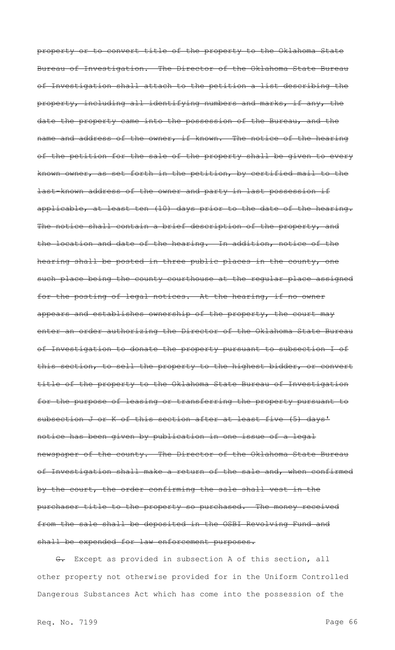property or to convert title of the property to the Oklahoma State Bureau of Investigation. The Director of the Oklahoma State Bureau of Investigation shall attach to the petition a list describing the property, including all identifying numbers and marks, if any, the date the property came into the possession of the Bureau, and the name and address of the owner, if known. The notice of the hearing of the petition for the sale of the property shall be given to every known owner, as set forth in the petition, by certified mail to the last-known address of the owner and party in last possession if applicable, at least ten (10) days prior to the date of the hearing. The notice shall contain a brief description of the property, and the location and date of the hearing. In addition, notice of the hearing shall be posted in three public places in the county, one such place being the county courthouse at the regular place assigned for the posting of legal notices. At the hearing, if no owner appears and establishes ownership of the property, the court may enter an order authorizing the Director of the Oklahoma State Bureau of Investigation to donate the property pursuant to subsection I of this section, to sell the property to the highest bidder, or convert title of the property to the Oklahoma State Bureau of Investigation for the purpose of leasing or transferring the property pursuant to subsection J or K of this section after at least five (5) days' notice has been given by publication in one issue of a legal newspaper of the county. The Director of the Oklahoma State Bureau of Investigation shall make a return of the sale and, when confirmed by the court, the order confirming the sale shall vest in the purchaser title to the property so purchased. The money received from the sale shall be deposited in the OSBI Revolving Fund and shall be expended for law enforcement purposes.

G. Except as provided in subsection A of this section, all other property not otherwise provided for in the Uniform Controlled Dangerous Substances Act which has come into the possession of the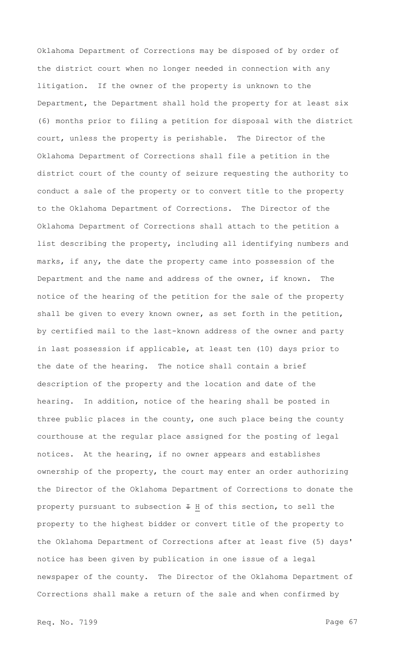Oklahoma Department of Corrections may be disposed of by order of the district court when no longer needed in connection with any litigation. If the owner of the property is unknown to the Department, the Department shall hold the property for at least six (6) months prior to filing a petition for disposal with the district court, unless the property is perishable. The Director of the Oklahoma Department of Corrections shall file a petition in the district court of the county of seizure requesting the authority to conduct a sale of the property or to convert title to the property to the Oklahoma Department of Corrections. The Director of the Oklahoma Department of Corrections shall attach to the petition a list describing the property, including all identifying numbers and marks, if any, the date the property came into possession of the Department and the name and address of the owner, if known. The notice of the hearing of the petition for the sale of the property shall be given to every known owner, as set forth in the petition, by certified mail to the last-known address of the owner and party in last possession if applicable, at least ten (10) days prior to the date of the hearing. The notice shall contain a brief description of the property and the location and date of the hearing. In addition, notice of the hearing shall be posted in three public places in the county, one such place being the county courthouse at the regular place assigned for the posting of legal notices. At the hearing, if no owner appears and establishes ownership of the property, the court may enter an order authorizing the Director of the Oklahoma Department of Corrections to donate the property pursuant to subsection  $\pm$  H of this section, to sell the property to the highest bidder or convert title of the property to the Oklahoma Department of Corrections after at least five (5) days' notice has been given by publication in one issue of a legal newspaper of the county. The Director of the Oklahoma Department of Corrections shall make a return of the sale and when confirmed by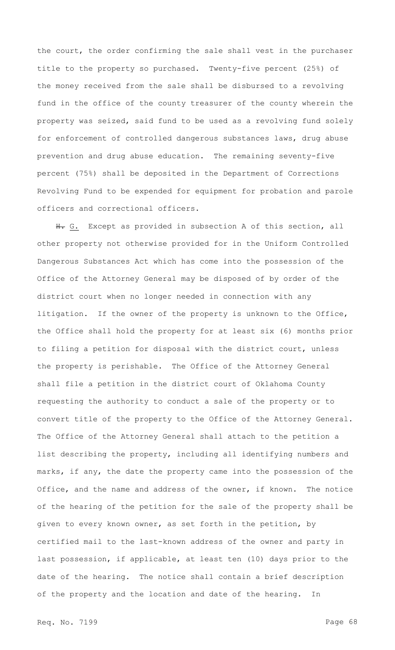the court, the order confirming the sale shall vest in the purchaser title to the property so purchased. Twenty-five percent (25%) of the money received from the sale shall be disbursed to a revolving fund in the office of the county treasurer of the county wherein the property was seized, said fund to be used as a revolving fund solely for enforcement of controlled dangerous substances laws, drug abuse prevention and drug abuse education. The remaining seventy-five percent (75%) shall be deposited in the Department of Corrections Revolving Fund to be expended for equipment for probation and parole officers and correctional officers.

H. G. Except as provided in subsection A of this section, all other property not otherwise provided for in the Uniform Controlled Dangerous Substances Act which has come into the possession of the Office of the Attorney General may be disposed of by order of the district court when no longer needed in connection with any litigation. If the owner of the property is unknown to the Office, the Office shall hold the property for at least six (6) months prior to filing a petition for disposal with the district court, unless the property is perishable. The Office of the Attorney General shall file a petition in the district court of Oklahoma County requesting the authority to conduct a sale of the property or to convert title of the property to the Office of the Attorney General. The Office of the Attorney General shall attach to the petition a list describing the property, including all identifying numbers and marks, if any, the date the property came into the possession of the Office, and the name and address of the owner, if known. The notice of the hearing of the petition for the sale of the property shall be given to every known owner, as set forth in the petition, by certified mail to the last-known address of the owner and party in last possession, if applicable, at least ten (10) days prior to the date of the hearing. The notice shall contain a brief description of the property and the location and date of the hearing. In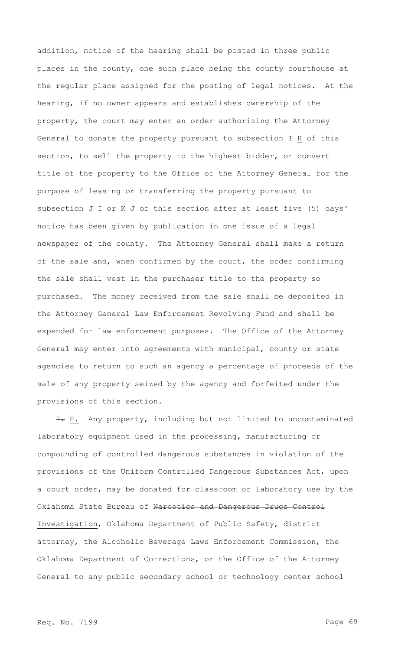addition, notice of the hearing shall be posted in three public places in the county, one such place being the county courthouse at the regular place assigned for the posting of legal notices. At the hearing, if no owner appears and establishes ownership of the property, the court may enter an order authorizing the Attorney General to donate the property pursuant to subsection  $\pm$  H of this section, to sell the property to the highest bidder, or convert title of the property to the Office of the Attorney General for the purpose of leasing or transferring the property pursuant to subsection  $J I$  or  $K J$  of this section after at least five (5) days' notice has been given by publication in one issue of a legal newspaper of the county. The Attorney General shall make a return of the sale and, when confirmed by the court, the order confirming the sale shall vest in the purchaser title to the property so purchased. The money received from the sale shall be deposited in the Attorney General Law Enforcement Revolving Fund and shall be expended for law enforcement purposes. The Office of the Attorney General may enter into agreements with municipal, county or state agencies to return to such an agency a percentage of proceeds of the sale of any property seized by the agency and forfeited under the provisions of this section.

I. H. Any property, including but not limited to uncontaminated laboratory equipment used in the processing, manufacturing or compounding of controlled dangerous substances in violation of the provisions of the Uniform Controlled Dangerous Substances Act, upon a court order, may be donated for classroom or laboratory use by the Oklahoma State Bureau of Narcotics and Dangerous Drugs Control Investigation, Oklahoma Department of Public Safety, district attorney, the Alcoholic Beverage Laws Enforcement Commission, the Oklahoma Department of Corrections, or the Office of the Attorney General to any public secondary school or technology center school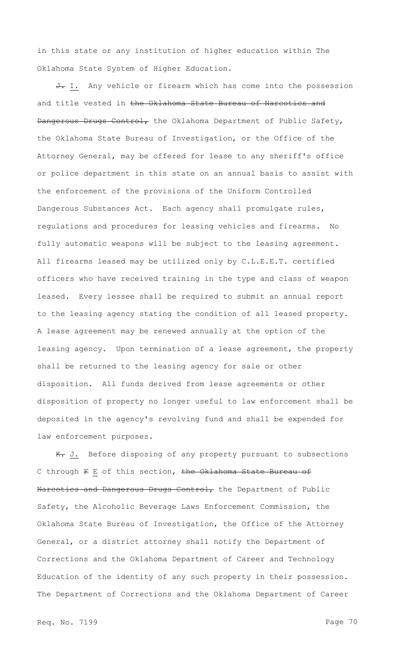in this state or any institution of higher education within The Oklahoma State System of Higher Education.

J. I. Any vehicle or firearm which has come into the possession and title vested in the Oklahoma State Bureau of Narcotics and Dangerous Drugs Control, the Oklahoma Department of Public Safety, the Oklahoma State Bureau of Investigation, or the Office of the Attorney General, may be offered for lease to any sheriff's office or police department in this state on an annual basis to assist with the enforcement of the provisions of the Uniform Controlled Dangerous Substances Act. Each agency shall promulgate rules, regulations and procedures for leasing vehicles and firearms. No fully automatic weapons will be subject to the leasing agreement. All firearms leased may be utilized only by C.L.E.E.T. certified officers who have received training in the type and class of weapon leased. Every lessee shall be required to submit an annual report to the leasing agency stating the condition of all leased property. A lease agreement may be renewed annually at the option of the leasing agency. Upon termination of a lease agreement, the property shall be returned to the leasing agency for sale or other disposition. All funds derived from lease agreements or other disposition of property no longer useful to law enforcement shall be deposited in the agency's revolving fund and shall be expended for law enforcement purposes.

K. J. Before disposing of any property pursuant to subsections C through F E of this section, the Oklahoma State Bureau of Narcotics and Dangerous Drugs Control, the Department of Public Safety, the Alcoholic Beverage Laws Enforcement Commission, the Oklahoma State Bureau of Investigation, the Office of the Attorney General, or a district attorney shall notify the Department of Corrections and the Oklahoma Department of Career and Technology Education of the identity of any such property in their possession. The Department of Corrections and the Oklahoma Department of Career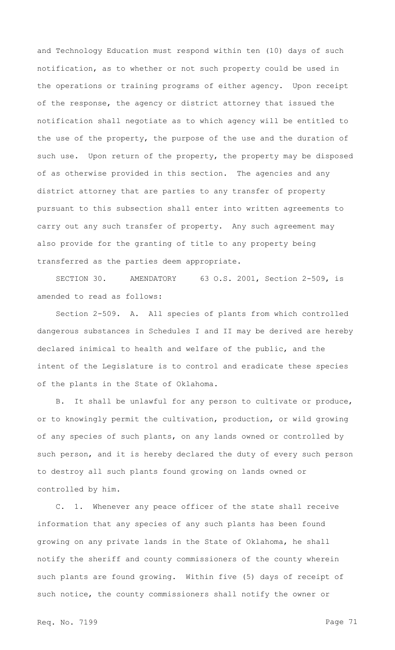and Technology Education must respond within ten (10) days of such notification, as to whether or not such property could be used in the operations or training programs of either agency. Upon receipt of the response, the agency or district attorney that issued the notification shall negotiate as to which agency will be entitled to the use of the property, the purpose of the use and the duration of such use. Upon return of the property, the property may be disposed of as otherwise provided in this section. The agencies and any district attorney that are parties to any transfer of property pursuant to this subsection shall enter into written agreements to carry out any such transfer of property. Any such agreement may also provide for the granting of title to any property being transferred as the parties deem appropriate.

SECTION 30. AMENDATORY 63 O.S. 2001, Section 2-509, is amended to read as follows:

Section 2-509. A. All species of plants from which controlled dangerous substances in Schedules I and II may be derived are hereby declared inimical to health and welfare of the public, and the intent of the Legislature is to control and eradicate these species of the plants in the State of Oklahoma.

B. It shall be unlawful for any person to cultivate or produce, or to knowingly permit the cultivation, production, or wild growing of any species of such plants, on any lands owned or controlled by such person, and it is hereby declared the duty of every such person to destroy all such plants found growing on lands owned or controlled by him.

C. 1. Whenever any peace officer of the state shall receive information that any species of any such plants has been found growing on any private lands in the State of Oklahoma, he shall notify the sheriff and county commissioners of the county wherein such plants are found growing. Within five (5) days of receipt of such notice, the county commissioners shall notify the owner or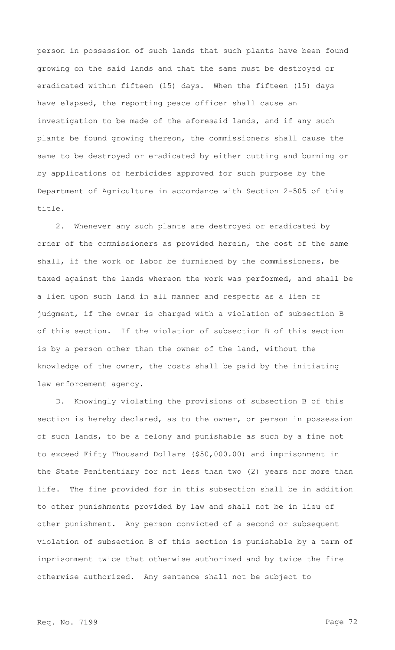person in possession of such lands that such plants have been found growing on the said lands and that the same must be destroyed or eradicated within fifteen (15) days. When the fifteen (15) days have elapsed, the reporting peace officer shall cause an investigation to be made of the aforesaid lands, and if any such plants be found growing thereon, the commissioners shall cause the same to be destroyed or eradicated by either cutting and burning or by applications of herbicides approved for such purpose by the Department of Agriculture in accordance with Section 2-505 of this title.

2. Whenever any such plants are destroyed or eradicated by order of the commissioners as provided herein, the cost of the same shall, if the work or labor be furnished by the commissioners, be taxed against the lands whereon the work was performed, and shall be a lien upon such land in all manner and respects as a lien of judgment, if the owner is charged with a violation of subsection B of this section. If the violation of subsection B of this section is by a person other than the owner of the land, without the knowledge of the owner, the costs shall be paid by the initiating law enforcement agency.

D. Knowingly violating the provisions of subsection B of this section is hereby declared, as to the owner, or person in possession of such lands, to be a felony and punishable as such by a fine not to exceed Fifty Thousand Dollars (\$50,000.00) and imprisonment in the State Penitentiary for not less than two (2) years nor more than life. The fine provided for in this subsection shall be in addition to other punishments provided by law and shall not be in lieu of other punishment. Any person convicted of a second or subsequent violation of subsection B of this section is punishable by a term of imprisonment twice that otherwise authorized and by twice the fine otherwise authorized. Any sentence shall not be subject to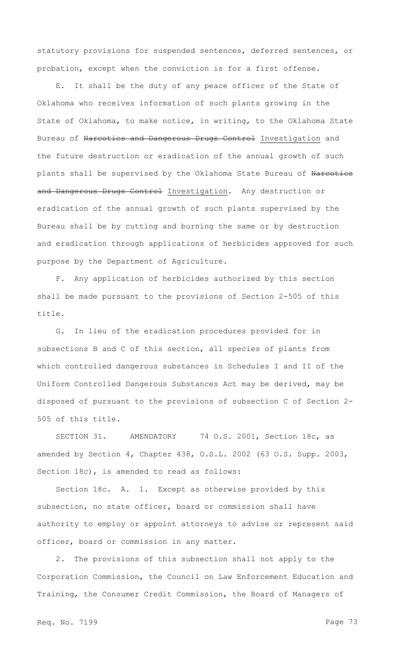statutory provisions for suspended sentences, deferred sentences, or probation, except when the conviction is for a first offense.

E. It shall be the duty of any peace officer of the State of Oklahoma who receives information of such plants growing in the State of Oklahoma, to make notice, in writing, to the Oklahoma State Bureau of Narcotics and Dangerous Drugs Control Investigation and the future destruction or eradication of the annual growth of such plants shall be supervised by the Oklahoma State Bureau of Narcotics and Dangerous Drugs Control Investigation. Any destruction or eradication of the annual growth of such plants supervised by the Bureau shall be by cutting and burning the same or by destruction and eradication through applications of herbicides approved for such purpose by the Department of Agriculture.

F. Any application of herbicides authorized by this section shall be made pursuant to the provisions of Section 2-505 of this title.

G. In lieu of the eradication procedures provided for in subsections B and C of this section, all species of plants from which controlled dangerous substances in Schedules I and II of the Uniform Controlled Dangerous Substances Act may be derived, may be disposed of pursuant to the provisions of subsection C of Section 2- 505 of this title.

SECTION 31. AMENDATORY 74 O.S. 2001, Section 18c, as amended by Section 4, Chapter 438, O.S.L. 2002 (63 O.S. Supp. 2003, Section 18c), is amended to read as follows:

Section 18c. A. 1. Except as otherwise provided by this subsection, no state officer, board or commission shall have authority to employ or appoint attorneys to advise or represent said officer, board or commission in any matter.

2. The provisions of this subsection shall not apply to the Corporation Commission, the Council on Law Enforcement Education and Training, the Consumer Credit Commission, the Board of Managers of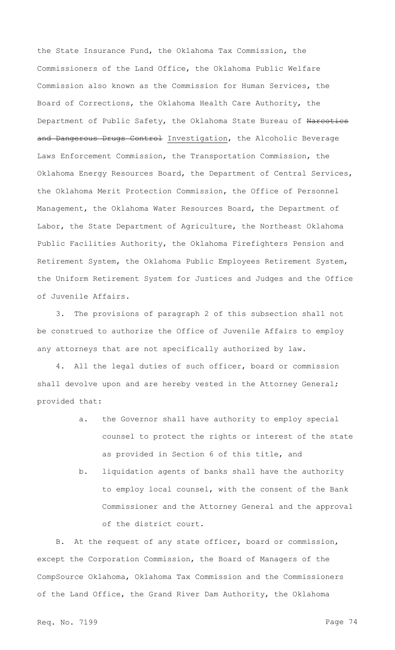the State Insurance Fund, the Oklahoma Tax Commission, the Commissioners of the Land Office, the Oklahoma Public Welfare Commission also known as the Commission for Human Services, the Board of Corrections, the Oklahoma Health Care Authority, the Department of Public Safety, the Oklahoma State Bureau of Narcotics and Dangerous Drugs Control Investigation, the Alcoholic Beverage Laws Enforcement Commission, the Transportation Commission, the Oklahoma Energy Resources Board, the Department of Central Services, the Oklahoma Merit Protection Commission, the Office of Personnel Management, the Oklahoma Water Resources Board, the Department of Labor, the State Department of Agriculture, the Northeast Oklahoma Public Facilities Authority, the Oklahoma Firefighters Pension and Retirement System, the Oklahoma Public Employees Retirement System, the Uniform Retirement System for Justices and Judges and the Office of Juvenile Affairs.

3. The provisions of paragraph 2 of this subsection shall not be construed to authorize the Office of Juvenile Affairs to employ any attorneys that are not specifically authorized by law.

4. All the legal duties of such officer, board or commission shall devolve upon and are hereby vested in the Attorney General; provided that:

- a. the Governor shall have authority to employ special counsel to protect the rights or interest of the state as provided in Section 6 of this title, and
- b. liquidation agents of banks shall have the authority to employ local counsel, with the consent of the Bank Commissioner and the Attorney General and the approval of the district court.

B. At the request of any state officer, board or commission, except the Corporation Commission, the Board of Managers of the CompSource Oklahoma, Oklahoma Tax Commission and the Commissioners of the Land Office, the Grand River Dam Authority, the Oklahoma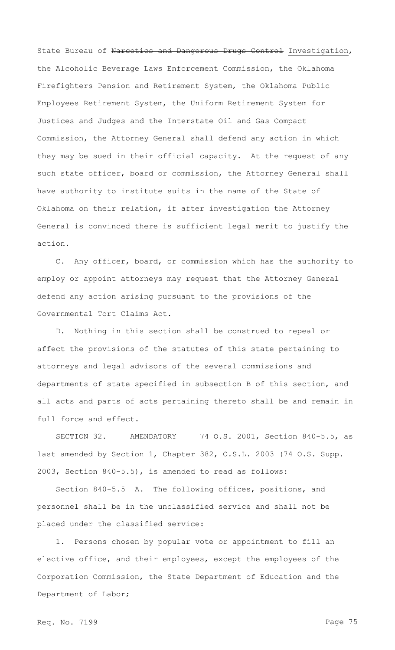State Bureau of Narcotics and Dangerous Drugs Control Investigation, the Alcoholic Beverage Laws Enforcement Commission, the Oklahoma Firefighters Pension and Retirement System, the Oklahoma Public Employees Retirement System, the Uniform Retirement System for Justices and Judges and the Interstate Oil and Gas Compact Commission, the Attorney General shall defend any action in which they may be sued in their official capacity. At the request of any such state officer, board or commission, the Attorney General shall have authority to institute suits in the name of the State of Oklahoma on their relation, if after investigation the Attorney General is convinced there is sufficient legal merit to justify the action.

C. Any officer, board, or commission which has the authority to employ or appoint attorneys may request that the Attorney General defend any action arising pursuant to the provisions of the Governmental Tort Claims Act.

D. Nothing in this section shall be construed to repeal or affect the provisions of the statutes of this state pertaining to attorneys and legal advisors of the several commissions and departments of state specified in subsection B of this section, and all acts and parts of acts pertaining thereto shall be and remain in full force and effect.

SECTION 32. AMENDATORY 74 O.S. 2001, Section 840-5.5, as last amended by Section 1, Chapter 382, O.S.L. 2003 (74 O.S. Supp. 2003, Section 840-5.5), is amended to read as follows:

Section 840-5.5 A. The following offices, positions, and personnel shall be in the unclassified service and shall not be placed under the classified service:

1. Persons chosen by popular vote or appointment to fill an elective office, and their employees, except the employees of the Corporation Commission, the State Department of Education and the Department of Labor;

Req. No. 7199 **Page 75**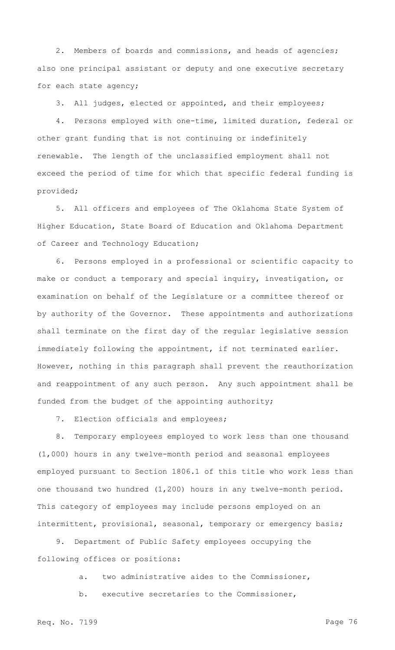2. Members of boards and commissions, and heads of agencies; also one principal assistant or deputy and one executive secretary for each state agency;

3. All judges, elected or appointed, and their employees;

4. Persons employed with one-time, limited duration, federal or other grant funding that is not continuing or indefinitely renewable. The length of the unclassified employment shall not exceed the period of time for which that specific federal funding is provided;

5. All officers and employees of The Oklahoma State System of Higher Education, State Board of Education and Oklahoma Department of Career and Technology Education;

6. Persons employed in a professional or scientific capacity to make or conduct a temporary and special inquiry, investigation, or examination on behalf of the Legislature or a committee thereof or by authority of the Governor. These appointments and authorizations shall terminate on the first day of the regular legislative session immediately following the appointment, if not terminated earlier. However, nothing in this paragraph shall prevent the reauthorization and reappointment of any such person. Any such appointment shall be funded from the budget of the appointing authority;

7. Election officials and employees;

8. Temporary employees employed to work less than one thousand (1,000) hours in any twelve-month period and seasonal employees employed pursuant to Section 1806.1 of this title who work less than one thousand two hundred (1,200) hours in any twelve-month period. This category of employees may include persons employed on an intermittent, provisional, seasonal, temporary or emergency basis;

9. Department of Public Safety employees occupying the following offices or positions:

a. two administrative aides to the Commissioner,

b. executive secretaries to the Commissioner,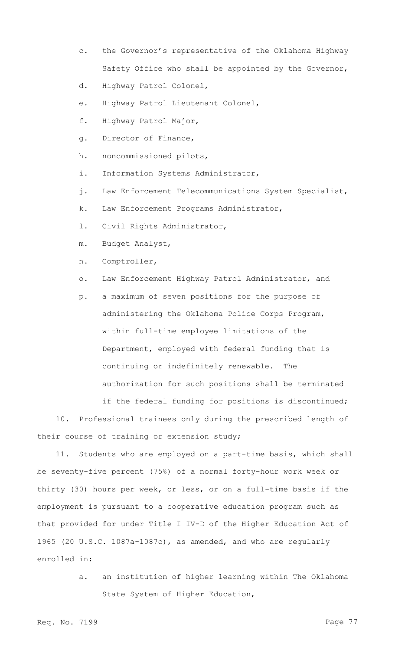- c. the Governor's representative of the Oklahoma Highway Safety Office who shall be appointed by the Governor,
- d. Highway Patrol Colonel,
- e. Highway Patrol Lieutenant Colonel,
- f. Highway Patrol Major,
- g. Director of Finance,
- h. noncommissioned pilots,
- i. Information Systems Administrator,
- j. Law Enforcement Telecommunications System Specialist,
- k. Law Enforcement Programs Administrator,
- l. Civil Rights Administrator,
- m. Budget Analyst,
- n. Comptroller,
- o. Law Enforcement Highway Patrol Administrator, and
- p. a maximum of seven positions for the purpose of administering the Oklahoma Police Corps Program, within full-time employee limitations of the Department, employed with federal funding that is continuing or indefinitely renewable. The authorization for such positions shall be terminated if the federal funding for positions is discontinued;

10. Professional trainees only during the prescribed length of their course of training or extension study;

11. Students who are employed on a part-time basis, which shall be seventy-five percent (75%) of a normal forty-hour work week or thirty (30) hours per week, or less, or on a full-time basis if the employment is pursuant to a cooperative education program such as that provided for under Title I IV-D of the Higher Education Act of 1965 (20 U.S.C. 1087a-1087c), as amended, and who are regularly enrolled in:

> a. an institution of higher learning within The Oklahoma State System of Higher Education,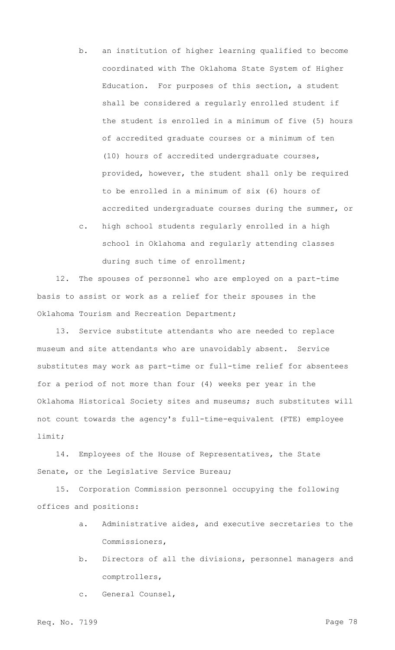- b. an institution of higher learning qualified to become coordinated with The Oklahoma State System of Higher Education. For purposes of this section, a student shall be considered a regularly enrolled student if the student is enrolled in a minimum of five (5) hours of accredited graduate courses or a minimum of ten (10) hours of accredited undergraduate courses, provided, however, the student shall only be required to be enrolled in a minimum of six (6) hours of accredited undergraduate courses during the summer, or
- c. high school students regularly enrolled in a high school in Oklahoma and regularly attending classes during such time of enrollment;

12. The spouses of personnel who are employed on a part-time basis to assist or work as a relief for their spouses in the Oklahoma Tourism and Recreation Department;

13. Service substitute attendants who are needed to replace museum and site attendants who are unavoidably absent. Service substitutes may work as part-time or full-time relief for absentees for a period of not more than four (4) weeks per year in the Oklahoma Historical Society sites and museums; such substitutes will not count towards the agency's full-time-equivalent (FTE) employee limit;

14. Employees of the House of Representatives, the State Senate, or the Legislative Service Bureau;

15. Corporation Commission personnel occupying the following offices and positions:

- a. Administrative aides, and executive secretaries to the Commissioners,
- b. Directors of all the divisions, personnel managers and comptrollers,

c. General Counsel,

Req. No. 7199 **Page 78**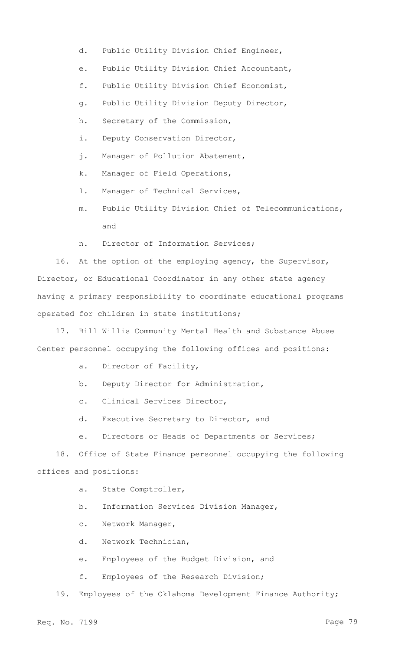- d. Public Utility Division Chief Engineer,
- e. Public Utility Division Chief Accountant,
- f. Public Utility Division Chief Economist,
- g. Public Utility Division Deputy Director,
- h. Secretary of the Commission,
- i. Deputy Conservation Director,
- j. Manager of Pollution Abatement,
- k. Manager of Field Operations,
- l. Manager of Technical Services,
- m. Public Utility Division Chief of Telecommunications, and
- n. Director of Information Services;

16. At the option of the employing agency, the Supervisor, Director, or Educational Coordinator in any other state agency having a primary responsibility to coordinate educational programs operated for children in state institutions;

17. Bill Willis Community Mental Health and Substance Abuse Center personnel occupying the following offices and positions:

- a. Director of Facility,
- b. Deputy Director for Administration,
- c. Clinical Services Director,
- d. Executive Secretary to Director, and
- e. Directors or Heads of Departments or Services;

18. Office of State Finance personnel occupying the following offices and positions:

- a. State Comptroller,
- b. Information Services Division Manager,
- c. Network Manager,
- d. Network Technician,
- e. Employees of the Budget Division, and
- f. Employees of the Research Division;

19. Employees of the Oklahoma Development Finance Authority;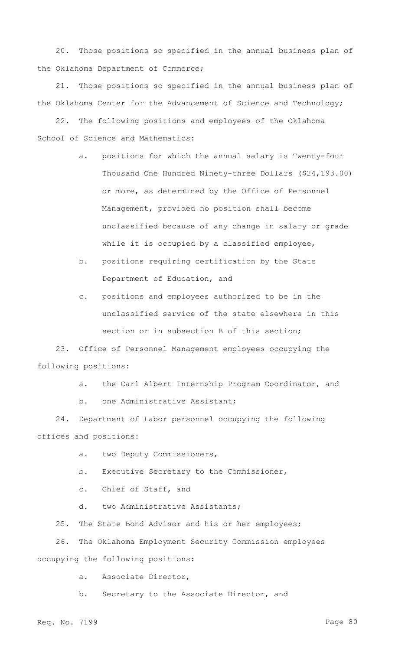20. Those positions so specified in the annual business plan of the Oklahoma Department of Commerce;

21. Those positions so specified in the annual business plan of the Oklahoma Center for the Advancement of Science and Technology;

22. The following positions and employees of the Oklahoma School of Science and Mathematics:

- a. positions for which the annual salary is Twenty-four Thousand One Hundred Ninety-three Dollars (\$24,193.00) or more, as determined by the Office of Personnel Management, provided no position shall become unclassified because of any change in salary or grade while it is occupied by a classified employee,
- b. positions requiring certification by the State Department of Education, and
- c. positions and employees authorized to be in the unclassified service of the state elsewhere in this section or in subsection B of this section;

23. Office of Personnel Management employees occupying the following positions:

- a. the Carl Albert Internship Program Coordinator, and
- b. one Administrative Assistant;

24. Department of Labor personnel occupying the following offices and positions:

- a. two Deputy Commissioners,
- b. Executive Secretary to the Commissioner,
- c. Chief of Staff, and
- d. two Administrative Assistants;

25. The State Bond Advisor and his or her employees;

26. The Oklahoma Employment Security Commission employees occupying the following positions:

a. Associate Director,

b. Secretary to the Associate Director, and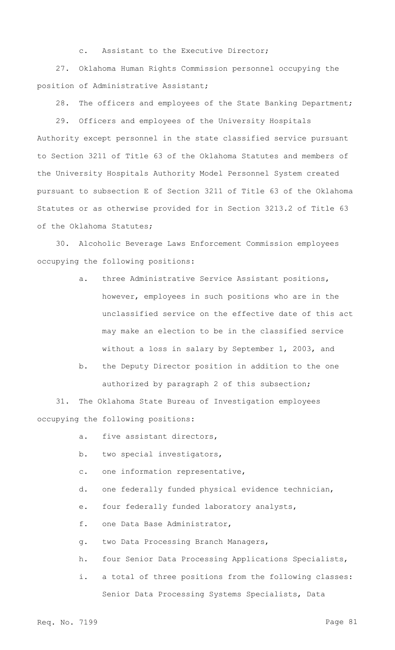c. Assistant to the Executive Director;

27. Oklahoma Human Rights Commission personnel occupying the position of Administrative Assistant;

28. The officers and employees of the State Banking Department;

29. Officers and employees of the University Hospitals Authority except personnel in the state classified service pursuant to Section 3211 of Title 63 of the Oklahoma Statutes and members of the University Hospitals Authority Model Personnel System created pursuant to subsection E of Section 3211 of Title 63 of the Oklahoma Statutes or as otherwise provided for in Section 3213.2 of Title 63 of the Oklahoma Statutes;

30. Alcoholic Beverage Laws Enforcement Commission employees occupying the following positions:

- a. three Administrative Service Assistant positions, however, employees in such positions who are in the unclassified service on the effective date of this act may make an election to be in the classified service without a loss in salary by September 1, 2003, and
- b. the Deputy Director position in addition to the one authorized by paragraph 2 of this subsection;

31. The Oklahoma State Bureau of Investigation employees occupying the following positions:

- a. five assistant directors,
- b. two special investigators,
- c. one information representative,
- d. one federally funded physical evidence technician,
- e. four federally funded laboratory analysts,

f. one Data Base Administrator,

- g. two Data Processing Branch Managers,
- h. four Senior Data Processing Applications Specialists,
- i. a total of three positions from the following classes: Senior Data Processing Systems Specialists, Data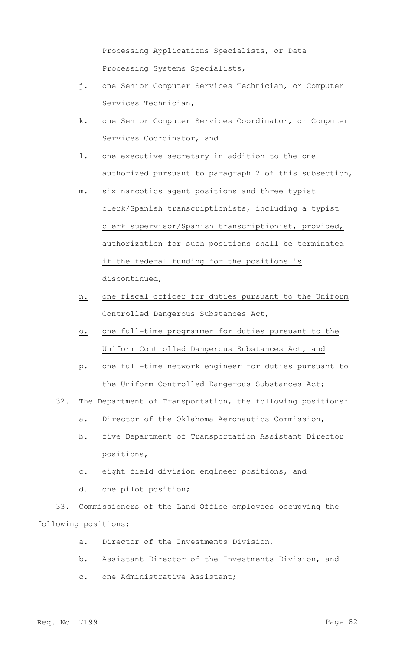Processing Applications Specialists, or Data Processing Systems Specialists,

- j. one Senior Computer Services Technician, or Computer Services Technician,
- k. one Senior Computer Services Coordinator, or Computer Services Coordinator, and
- l. one executive secretary in addition to the one authorized pursuant to paragraph 2 of this subsection,
- m. six narcotics agent positions and three typist clerk/Spanish transcriptionists, including a typist clerk supervisor/Spanish transcriptionist, provided, authorization for such positions shall be terminated if the federal funding for the positions is discontinued,
- n. one fiscal officer for duties pursuant to the Uniform Controlled Dangerous Substances Act,
- o. one full-time programmer for duties pursuant to the Uniform Controlled Dangerous Substances Act, and
- p. one full-time network engineer for duties pursuant to the Uniform Controlled Dangerous Substances Act;
- 32. The Department of Transportation, the following positions:
	- a. Director of the Oklahoma Aeronautics Commission,
	- b. five Department of Transportation Assistant Director positions,
	- c. eight field division engineer positions, and
	- d. one pilot position;

33. Commissioners of the Land Office employees occupying the following positions:

- a. Director of the Investments Division,
- b. Assistant Director of the Investments Division, and
- c. one Administrative Assistant;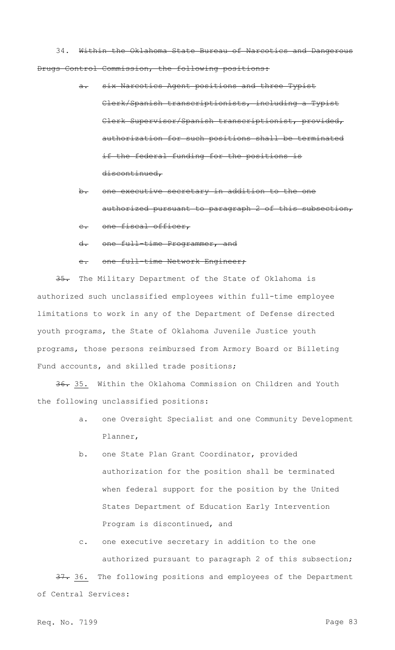34. Within the Oklahoma State Bureau of Narcotics and Dangerous Drugs Control Commission, the following positions:

- a. six Narcotics Agent positions and three Typist Clerk/Spanish transcriptionists, including a Typist Clerk Supervisor/Spanish transcriptionist, provided, authorization for such positions shall be terminated if the federal funding for the positions is discontinued,
- b. one executive secretary in addition to the one authorized pursuant to paragraph 2 of this subsection,
- c. one fiscal officer,
- d. one full-time Programmer, and

## e. one full-time Network Engineer;

35. The Military Department of the State of Oklahoma is authorized such unclassified employees within full-time employee limitations to work in any of the Department of Defense directed youth programs, the State of Oklahoma Juvenile Justice youth programs, those persons reimbursed from Armory Board or Billeting Fund accounts, and skilled trade positions;

36. 35. Within the Oklahoma Commission on Children and Youth the following unclassified positions:

- a. one Oversight Specialist and one Community Development Planner,
- b. one State Plan Grant Coordinator, provided authorization for the position shall be terminated when federal support for the position by the United States Department of Education Early Intervention Program is discontinued, and
- c. one executive secretary in addition to the one authorized pursuant to paragraph 2 of this subsection;

37. 36. The following positions and employees of the Department of Central Services:

Req. No. 7199 Page 83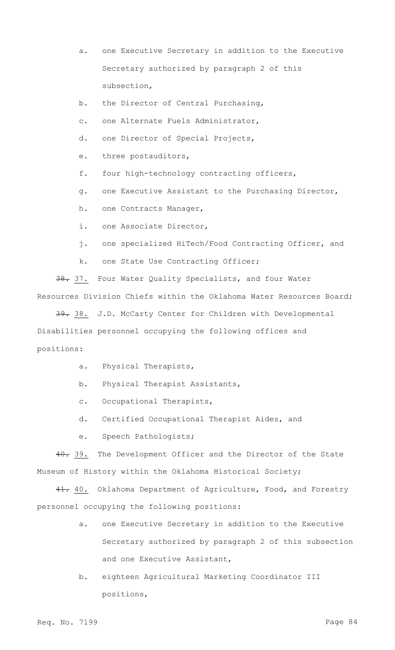- a. one Executive Secretary in addition to the Executive Secretary authorized by paragraph 2 of this subsection,
- b. the Director of Central Purchasing,
- c. one Alternate Fuels Administrator,
- d. one Director of Special Projects,
- e. three postauditors,
- f. four high-technology contracting officers,
- g. one Executive Assistant to the Purchasing Director,
- h. one Contracts Manager,
- i. one Associate Director,
- j. one specialized HiTech/Food Contracting Officer, and
- k. one State Use Contracting Officer;

38. 37. Four Water Quality Specialists, and four Water Resources Division Chiefs within the Oklahoma Water Resources Board;

39. 38. J.D. McCarty Center for Children with Developmental Disabilities personnel occupying the following offices and positions:

- a. Physical Therapists,
- b. Physical Therapist Assistants,
- c. Occupational Therapists,
- d. Certified Occupational Therapist Aides, and
- e. Speech Pathologists;

40. 39. The Development Officer and the Director of the State Museum of History within the Oklahoma Historical Society;

41. 40. Oklahoma Department of Agriculture, Food, and Forestry personnel occupying the following positions:

- a. one Executive Secretary in addition to the Executive Secretary authorized by paragraph 2 of this subsection and one Executive Assistant,
- b. eighteen Agricultural Marketing Coordinator III positions,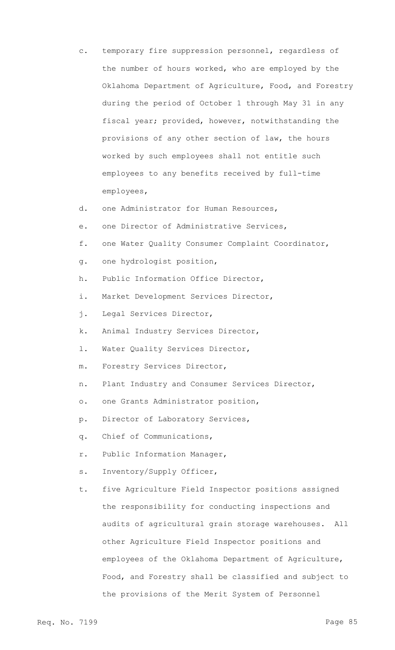- c. temporary fire suppression personnel, regardless of the number of hours worked, who are employed by the Oklahoma Department of Agriculture, Food, and Forestry during the period of October 1 through May 31 in any fiscal year; provided, however, notwithstanding the provisions of any other section of law, the hours worked by such employees shall not entitle such employees to any benefits received by full-time employees,
- d. one Administrator for Human Resources,
- e. one Director of Administrative Services,
- f. one Water Quality Consumer Complaint Coordinator,
- g. one hydrologist position,
- h. Public Information Office Director,
- i. Market Development Services Director,
- j. Legal Services Director,
- k. Animal Industry Services Director,
- l. Water Quality Services Director,
- m. Forestry Services Director,
- n. Plant Industry and Consumer Services Director,
- o. one Grants Administrator position,
- p. Director of Laboratory Services,
- q. Chief of Communications,
- r. Public Information Manager,
- s. Inventory/Supply Officer,
- t. five Agriculture Field Inspector positions assigned the responsibility for conducting inspections and audits of agricultural grain storage warehouses. All other Agriculture Field Inspector positions and employees of the Oklahoma Department of Agriculture, Food, and Forestry shall be classified and subject to the provisions of the Merit System of Personnel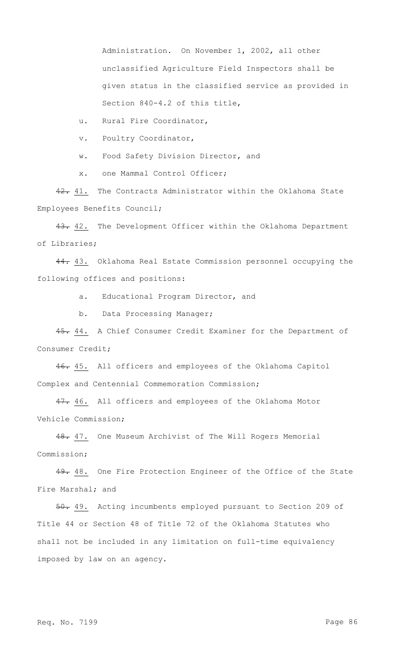Administration. On November 1, 2002, all other unclassified Agriculture Field Inspectors shall be given status in the classified service as provided in Section 840-4.2 of this title,

u. Rural Fire Coordinator,

v. Poultry Coordinator,

w. Food Safety Division Director, and

x. one Mammal Control Officer;

42. 41. The Contracts Administrator within the Oklahoma State Employees Benefits Council;

43. 42. The Development Officer within the Oklahoma Department of Libraries;

44. 43. Oklahoma Real Estate Commission personnel occupying the following offices and positions:

a. Educational Program Director, and

b. Data Processing Manager;

45. 44. A Chief Consumer Credit Examiner for the Department of Consumer Credit;

46. 45. All officers and employees of the Oklahoma Capitol Complex and Centennial Commemoration Commission;

47. 46. All officers and employees of the Oklahoma Motor Vehicle Commission;

48. 47. One Museum Archivist of The Will Rogers Memorial Commission;

49. 48. One Fire Protection Engineer of the Office of the State Fire Marshal; and

50. 49. Acting incumbents employed pursuant to Section 209 of Title 44 or Section 48 of Title 72 of the Oklahoma Statutes who shall not be included in any limitation on full-time equivalency imposed by law on an agency.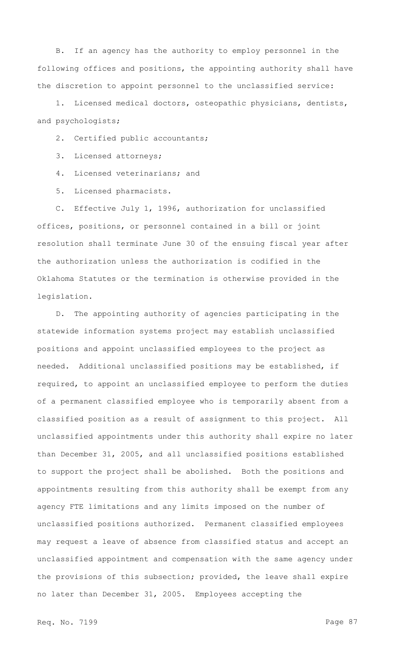B. If an agency has the authority to employ personnel in the following offices and positions, the appointing authority shall have the discretion to appoint personnel to the unclassified service:

1. Licensed medical doctors, osteopathic physicians, dentists, and psychologists;

2. Certified public accountants;

3. Licensed attorneys;

4. Licensed veterinarians; and

5. Licensed pharmacists.

C. Effective July 1, 1996, authorization for unclassified offices, positions, or personnel contained in a bill or joint resolution shall terminate June 30 of the ensuing fiscal year after the authorization unless the authorization is codified in the Oklahoma Statutes or the termination is otherwise provided in the legislation.

D. The appointing authority of agencies participating in the statewide information systems project may establish unclassified positions and appoint unclassified employees to the project as needed. Additional unclassified positions may be established, if required, to appoint an unclassified employee to perform the duties of a permanent classified employee who is temporarily absent from a classified position as a result of assignment to this project. All unclassified appointments under this authority shall expire no later than December 31, 2005, and all unclassified positions established to support the project shall be abolished. Both the positions and appointments resulting from this authority shall be exempt from any agency FTE limitations and any limits imposed on the number of unclassified positions authorized. Permanent classified employees may request a leave of absence from classified status and accept an unclassified appointment and compensation with the same agency under the provisions of this subsection; provided, the leave shall expire no later than December 31, 2005. Employees accepting the